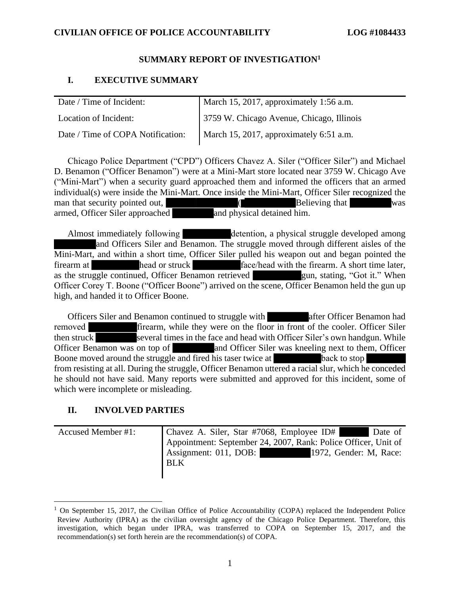### SUMMARY REPORT OF INVESTIGATION' **SUMMARY REPORT OF INVESTIGATION<sup>1</sup>**

# I. EXECUTIVE SUMMARY **I. EXECUTIVE SUMMARY**

| Date / Time of Incident:          | March 15, 2017, approximately 1:56 a.m.   |
|-----------------------------------|-------------------------------------------|
| Location of Incident:             | 3759 W. Chicago Avenue, Chicago, Illinois |
| Date / Time of COPA Notification: | March 15, 2017, approximately 6:51 a.m.   |

Chicago Police Department ("CPD") Officers Chavez A. Siler ("Officer Siler") and Michael Chicago Police Department ("CPD") Officers Chavez A. Siler ("Officer Siler") and Michael D. Benamon ("Officer Benamon") were at a Mini-Mart store located near 3759 W. Chicago Ave ("Mini-Mart") when a security guard approached them and informed the officers that an armed individual(s) were inside the Mini-Mart. Once inside the Mini-Mart, Officer Siler recognized the man that security pointed out,  $\qquad \qquad$  (Believing that was armed, Officer Siler approached and physical detained him. ("Mini-Mart") when a security guard approached them and informed the officers that an armed individual(s) were inside the Mini-Mart. Once inside the Mini-Mart, Officer Siler recognized the man that security pointed out,<br>ar

Almost immediately following detention, a physical struggle developed among and Officers Siler and Benamon. The struggle moved through different aisles of the Mini-Mart, and within a short time, Officer Siler pulled his weapon out and began pointed the firearm at head or struck face/head with the firearm. A short time later, as the struggle continued, Officer Benamon retrieved gun, stating, "Got it." When Officer Corey T. Boone ("Officer Boone") arrived on the scene, Officer Benamon held the gun up Officer Corey T. Boone ("Officer Boone") arrived on the scene, Officer Benamon held the gun up high, and handed it to Officer Boone. high, and handed it to Officer Boone. Almost immediately following<br>and Officers Siler and Benamon. The struggle moved through different aisles of the<br>Mini-Mart, and within a short time, Officer Siler pulled his weapon out and began pointed the<br>firearm at a hea

Officers Siler and Benamon continued to struggle with after Officer Benamon had removed firearm, while they were on the floor in front of the cooler. Officer Siler then struck several times in the face and head with Officer Siler's own handgun. While Officer Benamon was on top of and Officer Siler was kneeling next to them, Officer Boone moved around the struggle and fired his taser twice at back to stop Officer Benamon was on top of and Officer Siler was kneeling next to them, Officer Boone moved around the struggle and fired his taser twice at **struggle and the struggle** and fired his taser twice at **the struggle** from r he should not have said. Many reports were submitted and approved for this incident, some of he should not have said. Many reports were submitted and approved for this incident, some of which were incomplete or misleading. which were incomplete or misleading.

# II. INVOLVED PARTIES **II. INVOLVED PARTIES**

Accused Member #1: Chavez A. Siler, Star #7068, Employee ID# Date of Appointment: September 24, 2007, Rank: Police Officer, Unit of Assignment: 011, DOB: 1972, Gender: M, Race: BLK BLK Accused Member #1: Chavez A. Siler, Star #7068, Employee ID# Date of Appointment: September 24, 2007, Rank: Police Officer, Unit of Assignment: 011, DOB: 1972, Gender: M, Race:

<sup>&</sup>lt;sup>1</sup> On September 15, 2017, the Civilian Office of Police Accountability (COPA) replaced the Independent Police Review Authority (IPRA) as the civilian oversight agency of the Chicago Police Department. Therefore, this <sup>1</sup> On September 15, 2017, the Civilian Office of Police Accountability (COPA) replaced the Independent Police Review Authority (IPRA) as the civilian oversight agency of the Chicago Police Department. Therefore, this inv recommendation(s) set forth herein are the recommendation(s) of COPA.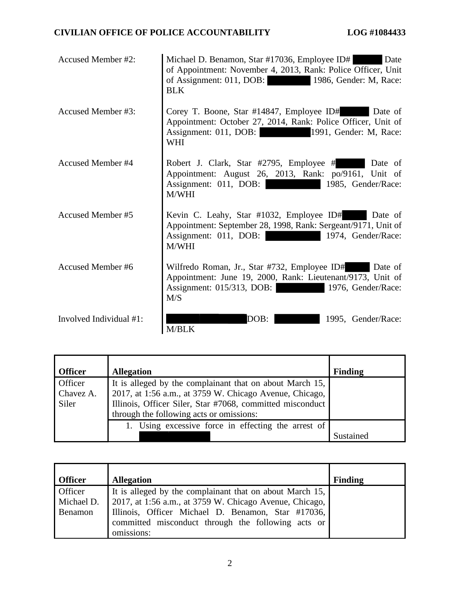| Accused Member #2:       | Michael D. Benamon, Star #17036, Employee ID#<br>Date<br>of Appointment: November 4, 2013, Rank: Police Officer, Unit<br>of Assignment: 011, DOB:<br>1986, Gender: M, Race:<br><b>BLK</b> |
|--------------------------|-------------------------------------------------------------------------------------------------------------------------------------------------------------------------------------------|
| Accused Member #3:       | Corey T. Boone, Star #14847, Employee ID#<br>Date of<br>Appointment: October 27, 2014, Rank: Police Officer, Unit of<br>Assignment: 011, DOB:<br>1991, Gender: M, Race:<br><b>WHI</b>     |
| <b>Accused Member #4</b> | Robert J. Clark, Star #2795, Employee #<br>Date of<br>Appointment: August 26, 2013, Rank: po/9161, Unit of<br>Assignment: 011, DOB:<br>1985, Gender/Race:<br>M/WHI                        |
| <b>Accused Member #5</b> | Kevin C. Leahy, Star #1032, Employee ID# Date of<br>Appointment: September 28, 1998, Rank: Sergeant/9171, Unit of<br>Assignment: 011, DOB:<br>1974, Gender/Race:<br>M/WHI                 |
| <b>Accused Member #6</b> | Wilfredo Roman, Jr., Star #732, Employee ID#<br>Date of<br>Appointment: June 19, 2000, Rank: Lieutenant/9173, Unit of<br>Assignment: 015/313, DOB:<br>1976, Gender/Race:<br>M/S           |
| Involved Individual #1:  | DOB:<br>1995. Gender/Race:<br><b>M/BLK</b>                                                                                                                                                |

| <b>Officer</b> | <b>Allegation</b>                                         | <b>Finding</b> |
|----------------|-----------------------------------------------------------|----------------|
| Officer        | It is alleged by the complainant that on about March 15,  |                |
| Chavez A.      | 2017, at 1:56 a.m., at 3759 W. Chicago Avenue, Chicago,   |                |
| Siler          | Illinois, Officer Siler, Star #7068, committed misconduct |                |
|                | through the following acts or omissions:                  |                |
|                | 1. Using excessive force in effecting the arrest of       |                |
|                |                                                           | Sustained      |

| <b>Officer</b>                   | <b>Allegation</b>                                                                                                                                                         | <b>Finding</b> |
|----------------------------------|---------------------------------------------------------------------------------------------------------------------------------------------------------------------------|----------------|
| Officer<br>Michael D.<br>Benamon | It is alleged by the complainant that on about March 15,<br>2017, at 1:56 a.m., at 3759 W. Chicago Avenue, Chicago,<br>Illinois, Officer Michael D. Benamon, Star #17036, |                |
|                                  | committed misconduct through the following acts or<br>omissions:                                                                                                          |                |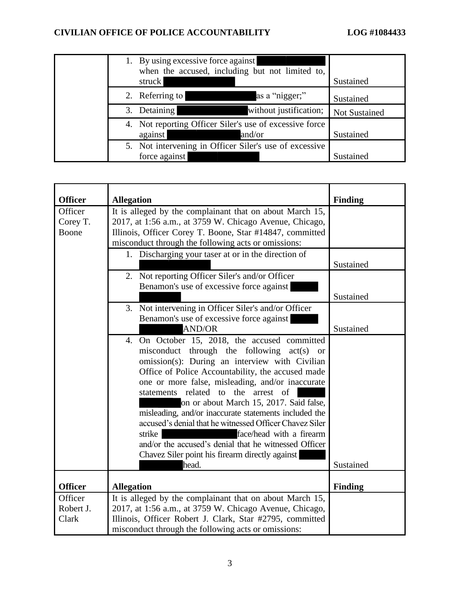| 1. By using excessive force against<br>when the accused, including but not limited to,<br>struck | Sustained            |
|--------------------------------------------------------------------------------------------------|----------------------|
| 2. Referring to<br>as a "nigger;"                                                                | Sustained            |
| 3. Detaining<br>without justification;                                                           | <b>Not Sustained</b> |
| 4. Not reporting Officer Siler's use of excessive force<br>and/or<br>against                     | Sustained            |
| 5. Not intervening in Officer Siler's use of excessive<br>force against                          | Sustained            |

| <b>Officer</b> | <b>Allegation</b>                                        | <b>Finding</b> |
|----------------|----------------------------------------------------------|----------------|
| Officer        | It is alleged by the complainant that on about March 15, |                |
| Corey T.       | 2017, at 1:56 a.m., at 3759 W. Chicago Avenue, Chicago,  |                |
| Boone          | Illinois, Officer Corey T. Boone, Star #14847, committed |                |
|                | misconduct through the following acts or omissions:      |                |
|                | 1. Discharging your taser at or in the direction of      |                |
|                |                                                          | Sustained      |
|                | 2. Not reporting Officer Siler's and/or Officer          |                |
|                | Benamon's use of excessive force against                 |                |
|                |                                                          | Sustained      |
|                | 3. Not intervening in Officer Siler's and/or Officer     |                |
|                | Benamon's use of excessive force against                 |                |
|                | <b>AND/OR</b>                                            | Sustained      |
|                | 4. On October 15, 2018, the accused committed            |                |
|                | misconduct through the following act(s) or               |                |
|                | omission(s): During an interview with Civilian           |                |
|                | Office of Police Accountability, the accused made        |                |
|                | one or more false, misleading, and/or inaccurate         |                |
|                | statements related to the arrest<br>of                   |                |
|                | on or about March 15, 2017. Said false,                  |                |
|                | misleading, and/or inaccurate statements included the    |                |
|                | accused's denial that he witnessed Officer Chavez Siler  |                |
|                | strike<br>face/head with a firearm                       |                |
|                | and/or the accused's denial that he witnessed Officer    |                |
|                | Chavez Siler point his firearm directly against          |                |
|                | head.                                                    | Sustained      |
|                |                                                          |                |
| <b>Officer</b> | <b>Allegation</b>                                        | <b>Finding</b> |
| Officer        | It is alleged by the complainant that on about March 15, |                |
| Robert J.      | 2017, at 1:56 a.m., at 3759 W. Chicago Avenue, Chicago,  |                |
| Clark          | Illinois, Officer Robert J. Clark, Star #2795, committed |                |
|                | misconduct through the following acts or omissions:      |                |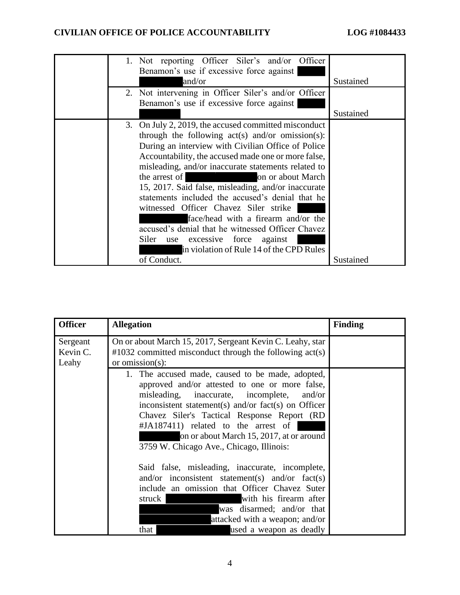| 1. Not reporting Officer Siler's and/or Officer<br>Benamon's use if excessive force against |           |
|---------------------------------------------------------------------------------------------|-----------|
| and/or                                                                                      | Sustained |
| 2. Not intervening in Officer Siler's and/or Officer                                        |           |
| Benamon's use if excessive force against                                                    |           |
|                                                                                             | Sustained |
| 3. On July 2, 2019, the accused committed misconduct                                        |           |
| through the following $act(s)$ and/or omission(s):                                          |           |
| During an interview with Civilian Office of Police                                          |           |
| Accountability, the accused made one or more false,                                         |           |
| misleading, and/or inaccurate statements related to                                         |           |
| the arrest of<br>on or about March                                                          |           |
| 15, 2017. Said false, misleading, and/or inaccurate                                         |           |
| statements included the accused's denial that he                                            |           |
| witnessed Officer Chavez Siler strike                                                       |           |
| face/head with a firearm and/or the                                                         |           |
| accused's denial that he witnessed Officer Chavez                                           |           |
| Siler<br>excessive force<br>against<br>use                                                  |           |
| in violation of Rule 14 of the CPD Rules                                                    |           |
| of Conduct.                                                                                 | Sustained |

| <b>Officer</b>                | <b>Allegation</b>                                                                                                                                                                                                                                                                                                                                                                        | <b>Finding</b> |
|-------------------------------|------------------------------------------------------------------------------------------------------------------------------------------------------------------------------------------------------------------------------------------------------------------------------------------------------------------------------------------------------------------------------------------|----------------|
| Sergeant<br>Kevin C.<br>Leahy | On or about March 15, 2017, Sergeant Kevin C. Leahy, star<br>$\text{\#1032}$ committed misconduct through the following act(s)<br>or omission(s):                                                                                                                                                                                                                                        |                |
|                               | 1. The accused made, caused to be made, adopted,<br>approved and/or attested to one or more false,<br>misleading, inaccurate, incomplete,<br>and/or<br>inconsistent statement(s) and/or fact(s) on Officer<br>Chavez Siler's Tactical Response Report (RD<br>#JA187411) related to the arrest of<br>on or about March 15, 2017, at or around<br>3759 W. Chicago Ave., Chicago, Illinois: |                |
|                               | Said false, misleading, inaccurate, incomplete,<br>and/or inconsistent statement(s) and/or fact(s)<br>include an omission that Officer Chavez Suter<br>with his firearm after<br>struck<br>was disarmed; and/or that<br>attacked with a weapon; and/or<br>used a weapon as deadly<br>that                                                                                                |                |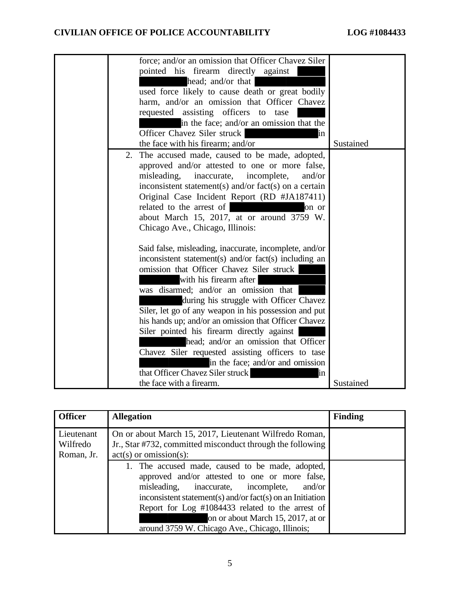| force; and/or an omission that Officer Chavez Siler<br>pointed his firearm directly against<br>head; and/or that<br>used force likely to cause death or great bodily<br>harm, and/or an omission that Officer Chavez<br>requested assisting officers to<br>tase<br>in the face; and/or an omission that the<br>Officer Chavez Siler struck<br>in<br>the face with his firearm; and/or                                                                                              | Sustained |
|------------------------------------------------------------------------------------------------------------------------------------------------------------------------------------------------------------------------------------------------------------------------------------------------------------------------------------------------------------------------------------------------------------------------------------------------------------------------------------|-----------|
| The accused made, caused to be made, adopted,<br>2.<br>approved and/or attested to one or more false,<br>misleading,<br>inaccurate,<br>incomplete,<br>and/or<br>inconsistent statement(s) and/or fact(s) on a certain<br>Original Case Incident Report (RD #JA187411)<br>related to the arrest of<br>on or<br>about March 15, 2017, at or around 3759 W.<br>Chicago Ave., Chicago, Illinois:                                                                                       |           |
| Said false, misleading, inaccurate, incomplete, and/or<br>inconsistent statement(s) and/or fact(s) including an<br>omission that Officer Chavez Siler struck<br>with his firearm after<br>was disarmed; and/or an omission that<br>during his struggle with Officer Chavez<br>Siler, let go of any weapon in his possession and put<br>his hands up; and/or an omission that Officer Chavez<br>Siler pointed his firearm directly against<br>head; and/or an omission that Officer |           |
| Chavez Siler requested assisting officers to tase<br>in the face; and/or and omission<br>that Officer Chavez Siler struck<br>ın<br>the face with a firearm.                                                                                                                                                                                                                                                                                                                        | Sustained |

| <b>Officer</b>                       | <b>Allegation</b>                                                                                                                                                                                                                                                                                                                                               | <b>Finding</b> |
|--------------------------------------|-----------------------------------------------------------------------------------------------------------------------------------------------------------------------------------------------------------------------------------------------------------------------------------------------------------------------------------------------------------------|----------------|
| Lieutenant<br>Wilfredo<br>Roman, Jr. | On or about March 15, 2017, Lieutenant Wilfredo Roman,<br>Jr., Star #732, committed misconduct through the following<br>$act(s)$ or omission(s):                                                                                                                                                                                                                |                |
|                                      | 1. The accused made, caused to be made, adopted,<br>approved and/or attested to one or more false,<br>misleading,<br>inaccurate, incomplete,<br>and/or<br>inconsistent statement(s) and/or fact(s) on an Initiation<br>Report for Log #1084433 related to the arrest of<br>on or about March 15, 2017, at or<br>around 3759 W. Chicago Ave., Chicago, Illinois; |                |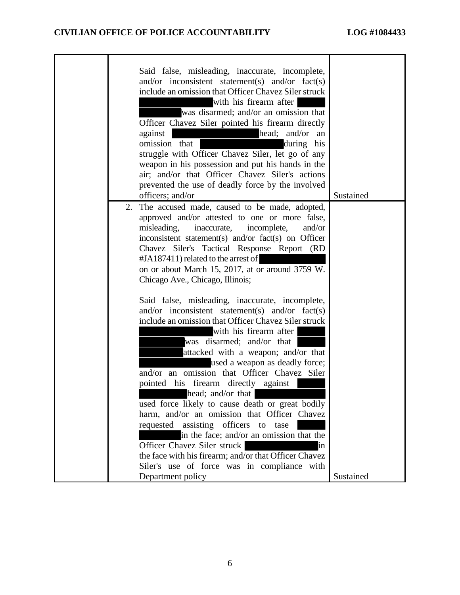| Said false, misleading, inaccurate, incomplete,<br>and/or inconsistent statement(s) and/or $fact(s)$<br>include an omission that Officer Chavez Siler struck<br>with his firearm after<br>was disarmed; and/or an omission that<br>Officer Chavez Siler pointed his firearm directly<br>head; and/or an<br>against<br>omission that<br>during his<br>struggle with Officer Chavez Siler, let go of any<br>weapon in his possession and put his hands in the<br>air; and/or that Officer Chavez Siler's actions<br>prevented the use of deadly force by the involved<br>officers; and/or | Sustained |
|-----------------------------------------------------------------------------------------------------------------------------------------------------------------------------------------------------------------------------------------------------------------------------------------------------------------------------------------------------------------------------------------------------------------------------------------------------------------------------------------------------------------------------------------------------------------------------------------|-----------|
| The accused made, caused to be made, adopted,<br>2.<br>approved and/or attested to one or more false,<br>misleading,<br>inaccurate,<br>incomplete,<br>and/or<br>inconsistent statement(s) and/or fact(s) on Officer<br>Chavez Siler's Tactical Response Report (RD<br>$\#JA187411$ ) related to the arrest of<br>on or about March 15, 2017, at or around 3759 W.<br>Chicago Ave., Chicago, Illinois;                                                                                                                                                                                   |           |
| Said false, misleading, inaccurate, incomplete,<br>and/or inconsistent statement(s) and/or $fact(s)$<br>include an omission that Officer Chavez Siler struck<br>with his firearm after<br>was disarmed; and/or that<br>attacked with a weapon; and/or that<br>used a weapon as deadly force;<br>and/or an omission that Officer Chavez Siler<br>pointed his firearm directly against<br>head; and/or that                                                                                                                                                                               |           |
| used force likely to cause death or great bodily<br>harm, and/or an omission that Officer Chavez<br>requested assisting officers to<br>tase<br>in the face; and/or an omission that the<br>Officer Chavez Siler struck<br>in<br>the face with his firearm; and/or that Officer Chavez<br>Siler's use of force was in compliance with<br>Department policy                                                                                                                                                                                                                               | Sustained |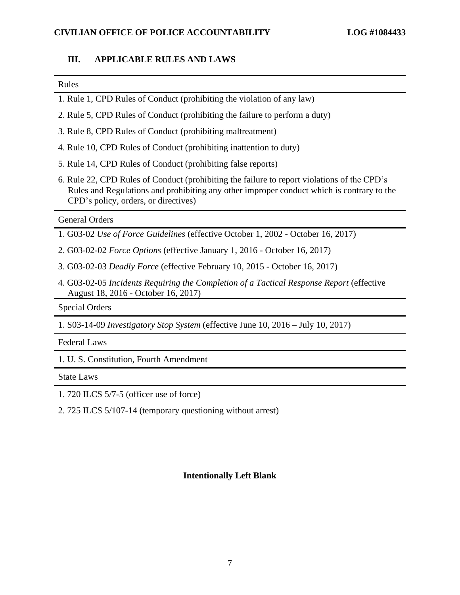# III. APPLICABLE RULES AND LAWS **III. APPLICABLE RULES AND LAWS**

#### Rules Rules

- 1. Rule 1, CPD Rules of Conduct (prohibiting the violation of any law) 1. Rule 1, CPD Rules of Conduct (prohibiting the violation of any law)
- 2. Rule 5, CPD Rules of Conduct (prohibiting the failure to perform a duty) 2. Rule 5, CPD Rules of Conduct (prohibiting the failure to perform a duty)
- 3. Rule 8, CPD Rules of Conduct (prohibiting maltreatment) 3. Rule 8, CPD Rules of Conduct (prohibiting maltreatment)
- 4. Rule 10, CPD Rules of Conduct (prohibiting inattention to duty) 4. Rule 10, CPD Rules of Conduct (prohibiting inattention to duty)
- 5. Rule 14, CPD Rules of Conduct (prohibiting false reports) 5. Rule 14, CPD Rules of Conduct (prohibiting false reports)
- 6. Rule 22, CPD Rules of Conduct (prohibiting the failure to report violations of the CPD's 6. Rule 22, CPD Rules of Conduct (prohibiting the failure to report violations of the CPD's Rules and Regulations and prohibiting any other improper conduct which is contrary to the Rules and Regulations and prohibiting any other improper conduct which is contrary to the CPD's policy, orders, or directives) CPD's policy, orders, or directives)

#### General Orders General Orders

- 1. G03-02 Use of Force Guidelines (effective October 1, 2002 October 16, 2017) 1. G03-02 *Use of Force Guidelines* (effective October 1, 2002 October 16, 2017)
- 2. G03-02-02 Force Options (effective January 1, 2016 October 16, 2017) 2. G03-02-02 *Force Options* (effective January 1, 2016 October 16, 2017)
- 3. G03-02-03 Deadly Force (effective February 10, 2015 October 16, 2017) 3. G03-02-03 *Deadly Force* (effective February 10, 2015 October 16, 2017)
- 4. G03-02-05 Incidents Requiring the Completion of a Tactical Response Report (effective 4. G03-02-05 *Incidents Requiring the Completion of a Tactical Response Report* (effective August 18, 2016 October 16, 2017) August 18, 2016 - October 16, 2017)

Special Orders Special Orders

1. S03-14-09 Investigatory Stop System (effective June 10, 2016 — July 10, 2017) 1. S03-14-09 *Investigatory Stop System* (effective June 10, 2016 – July 10, 2017)

Federal Laws Federal Laws

1. U. S. Constitution, Fourth Amendment 1. U. S. Constitution, Fourth Amendment

State Laws State Laws

1. 720 ILCS 5/7-5 (officer use of force) 1. 720 ILCS 5/7-5 (officer use of force)

2. 725 ILCS 5/107-14 (temporary questioning without arrest) 2. 725 ILCS 5/107-14 (temporary questioning without arrest)

#### Intentionally Left Blank **Intentionally Left Blank**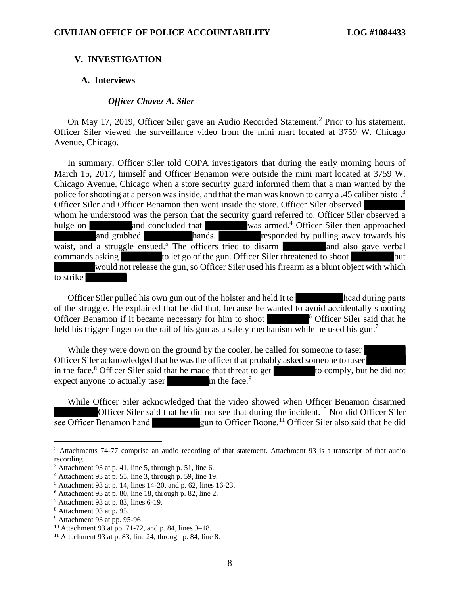#### V. INVESTIGATION **V. INVESTIGATION**

#### A. Interviews **A. Interviews**

#### Officer Chavez A. Siler *Officer Chavez A. Siler*

On May 17, 2019, Officer Siler gave an Audio Recorded Statement.<sup>2</sup> Prior to his statement, Officer Siler viewed the surveillance video from the mini mart located at 3759 W. Chicago Avenue, Chicago. On May 17, 2019, Officer Siler gave an Audio Recorded Statement.<sup>2</sup> Prior to his statement, Officer Siler viewed the surveillance video from the mini mart located at 3759 W. Chicago Avenue, Chicago.

In summary, Officer Siler told COPA investigators that during the early morning hours of March 15, 2017, himself and Officer Benamon were outside the mini mart located at 3759 W. Chicago Avenue, Chicago when a store security guard informed them that a man wanted by the In summary, Officer Siler told COPA investigators that during the early morning hours of March 15, 2017, himself and Officer Benamon were outside the mini mart located at 3759 W. Chicago Avenue, Chicago when a store securi Officer Siler and Officer Benamon then went inside the store. Officer Siler observed Officer Siler and Officer Benamon then went inside the store. Officer Siler observed whom he understood was the person that the security guard referred to. Officer Siler observed a bulge on and concluded that was armed.<sup>4</sup> Officer Siler then approached and grabbed hands. The officers tried to disarm was ar bulge on and concluded that was armed.<sup>4</sup> Officer Siler then approached and grabbed hands. The responded by pulling away towards his waist, and a struggle ensued.<sup>5</sup> The officers tried to disarm **and also gave verbal** commands asking to let go of the gun. Officer Siler threatened to shoot but would not release the gun, so Officer Siler used his firearm as a blunt object with which would not release the gun, so Officer Siler used his firearm as a blunt object with which to strike

Officer Siler pulled his own gun out of the holster and held it to head during parts The to strike<br>to strike the strike of the strike of the strike of the strike of the struggle. He explained that he did that, because he wanted to avoid accidentally shooting Officer Benamon if it became necessary for him to shoot **6 Officer Siler said that he** held his trigger finger on the rail of his gun as a safety mechanism while he used his gun.<sup>7</sup>

While they were down on the ground by the cooler, he called for someone to taser<br>Officer Siler acknowledged that he was the officer that probably asked someone to taser Officer Siler acknowledged that he was the officer that probably asked someone to taser in the face.<sup>8</sup> Officer Siler said that he made that threat to get to comply, but he did not expect anyone to actually taser in the face.<sup>9</sup>

While Officer Siler acknowledged that the video showed when Officer Benamon disarmed While Officer Siler acknowledged that the video showed when Officer Benamon disarmed<br>Officer Siler said that he did not see that during the incident.<sup>10</sup> Nor did Officer Siler see Officer Benamon hand gun to Officer Boone.<sup>11</sup> Officer Siler also said that he did

 $2$  Attachments 74-77 comprise an audio recording of that statement. Attachment 93 is a transcript of that audio recording. recording.

<sup>3</sup> Attachment 93 at p. 41, line 5, through p. 51, line 6. <sup>3</sup> Attachment 93 at p. 41, line 5, through p. 51, line 6.

<sup>4</sup> Attachment 93 at p. 55, line 3, through p. 59, line 19. <sup>4</sup> Attachment 93 at p. 55, line 3, through p. 59, line 19.

<sup>5</sup> Attachment 93 at p. 14, lines 14-20, and p. 62, lines 16-23. <sup>5</sup> Attachment 93 at p. 14, lines 14-20, and p. 62, lines 16-23.

<sup>6</sup> Attachment 93 at p. 80, line 18, through p. 82, line 2. <sup>6</sup> Attachment 93 at p. 80, line 18, through p. 82, line 2.

 $<sup>7</sup>$  Attachment 93 at p. 83, lines 6-19.</sup>

<sup>8</sup> Attachment 93 at p. 95. <sup>8</sup> Attachment 93 at p. 95.

<sup>9</sup> Attachment 93 at pp. 95-96 <sup>9</sup> Attachment 93 at pp. 95-96

 $10$  Attachment 93 at pp. 71-72, and p. 84, lines 9–18.

 $11$  Attachment 93 at p. 83, line 24, through p. 84, line 8.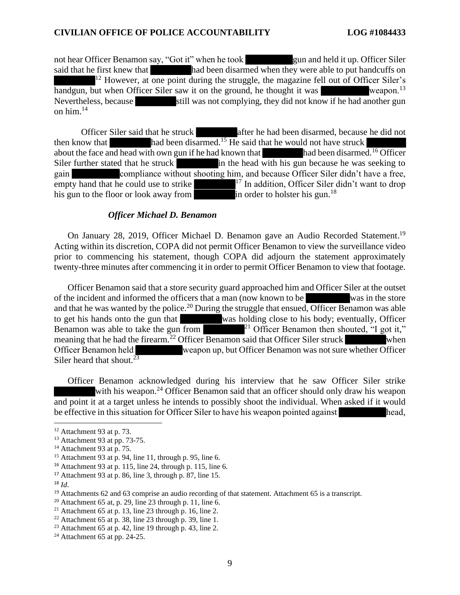not hear Officer Benamon say, "Got it" when he took gun and held it up. Officer Siler said that he first knew that had been disarmed when they were able to put handcuffs on <sup>12</sup> However, at one point during the struggle, the magazine fell out of Officer Siler's handgun, but when Officer Siler saw it on the ground, he thought it was weapon.<sup>13</sup> handgun, but when Officer Siler saw it on the ground, he thought it was weapon.<sup>13</sup> Nevertheless, because still was not complying, they did not know if he had another gun on him.<sup>14</sup> on him. $^{14}$ 

Officer Siler said that he struck after he had been disarmed, because he did not then know that had been disarmed.<sup>15</sup> He said that he would not have struck Officer Siler said that he struck<br>then know that had been disarmed.<sup>15</sup> He said that he would not have struck<br>about the face and head with own gun if he had known that he would not have struck<br>had been disarmed.<sup>16</sup> Office Siler further stated that he struck **in the head with his gun because he was seeking to** gain compliance without shooting him, and because Officer Siler didn't have a free,<br>empty hand that he could use to strike  $\frac{1}{2}$  In addition, Officer Siler didn't want to drop<br>his gun to the floor or look away from in empty hand that he could use to strike  $\frac{17}{17}$  In addition, Officer Siler didn't want to drop his gun to the floor or look away from  $\frac{18}{100}$  in order to holster his gun.<sup>18</sup>

#### Officer Michael D. Benamon *Officer Michael D. Benamon*

On January 28, 2019, Officer Michael D. Benamon gave an Audio Recorded Statement.<sup>19</sup> Acting within its discretion, COPA did not permit Officer Benamon to view the surveillance video Acting within its discretion, COPA did not permit Officer Benamon to view the surveillance video<br>prior to commencing his statement, though COPA did adjourn the statement approximately twenty-three minutes after commencing it in order to permit Officer Benamon to view that footage. twenty-three minutes after commencing it in order to permit Officer Benamon to view that footage.

Officer Benamon said that a store security guard approached him and Officer Siler at the outset<br>he incident and informed the officers that a man (now known to be was in the store of the incident and informed the officers that a man (now known to be Officer Benamon said that a store security guard approached him and Officer Siler at the outset<br>of the incident and informed the officers that a man (now known to be was in the store<br>and that he was wanted by the police.<sup>2</sup> to get his hands onto the gun that was holding close to his body; eventually, Officer to get his hands onto the gun that was holding close to his body; eventually, Officer Benamon was able to take the gun from  $\frac{1}{2}$  Officer Benamon then shouted, "I got it," meaning that he had the firearm.<sup>22</sup> Officer Benamon said that Officer Siler struck when Officer Benamon held weapon up, but Officer Benamon was not sure whether Officer Siler heard that shout.<sup>23</sup> Officer Benamon held weapon up, but Officer Benamon was not sure whether Officer Siler heard that shout. $23$ 

Officer Benamon acknowledged during his interview that he saw Officer Siler strike Officer Benamon acknowledged during his interview that he saw Officer Siler strike with his weapon.<sup>24</sup> Officer Benamon said that an officer should only draw his weapon and point it at a target unless he intends to possibly shoot the individual. When asked if it would<br>be effective in this situation for Officer Siler to have his weapon pointed against be effective in this situation for Officer Siler to have his weapon pointed against

 $17$  Attachment 93 at p. 86, line 3, through p. 87, line 15.

 $12$  Attachment 93 at p. 73.

<sup>13</sup> Attachment 93 at pp. 73-75. <sup>13</sup> Attachment 93 at pp. 73-75.

<sup>14</sup> Attachment 93 at p. 75. <sup>14</sup> Attachment 93 at p. 75.

 $15$  Attachment 93 at p. 94, line 11, through p. 95, line 6.

<sup>16</sup> Attachment 93 at p. 115, line 24, through p. 115, line 6. <sup>16</sup> Attachment 93 at p. 115, line 24, through p. 115, line 6.

<sup>18</sup> Id. <sup>18</sup> *Id*.

<sup>&</sup>lt;sup>19</sup> Attachments 62 and 63 comprise an audio recording of that statement. Attachment 65 is a transcript.

 $20$  Attachment 65 at, p. 29, line 23 through p. 11, line 6.

<sup>&</sup>lt;sup>21</sup> Attachment 65 at p. 13, line 23 through p. 16, line 2.

<sup>22</sup> Attachment 65 at p. 38, line 23 through p. 39, line 1. <sup>22</sup> Attachment 65 at p. 38, line 23 through p. 39, line 1.

 $2<sup>23</sup>$  Attachment 65 at p. 42, line 19 through p. 43, line 2.

 $24$  Attachment 65 at pp. 24-25.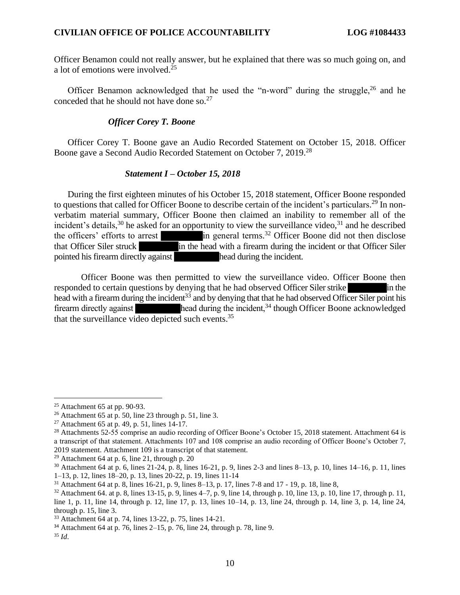Officer Benamon could not really answer, but he explained that there was so much going on, and Officer Benamon could not really answer, but he explained that there was so much going on, and a lot of emotions were involved.25 a lot of emotions were involved. 25

Officer Benamon acknowledged that he used the "n-word" during the struggle,<sup>26</sup> and he conceded that he should not have done so.<sup>27</sup> conceded that he should not have done so. $27$ 

### Officer Corey T. Boone *Officer Corey T. Boone*

Officer Corey T. Boone gave an Audio Recorded Statement on October 15, 2018. Officer Boone gave a Second Audio Recorded Statement on October 7, 2019.<sup>28</sup> Boone gave a Second Audio Recorded Statement on October 7, 2019.28

### Statement I - October 15, 2018 *Statement I – October 15, 2018*

During the first eighteen minutes of his October 15, 2018 statement, Officer Boone responded During the first eighteen minutes of his October 15, 2018 statement, Officer Boone responded<br>to questions that called for Officer Boone to describe certain of the incident's particulars.<sup>29</sup> In nonverbatim material summary, Officer Boone then claimed an inability to remember all of the verbatim material summary, Officer Boone then claimed an inability to remember all of the incident's details,<sup>30</sup> he asked for an opportunity to view the surveillance video,<sup>31</sup> and he described the officers' efforts to arrest  $\frac{1}{2}$  in general terms.<sup>32</sup> Officer Boone did not then disclose that Officer Siler struck in the head with a firearm during the incident or that Officer Siler the officers' efforts to arrest in general terms.<sup>32</sup> Officer Boone did not then disclose that Officer Siler struck in the head with a firearm during the incident or that Officer Siler pointed his firearm directly against

Officer Boone was then permitted to view the surveillance video. Officer Boone then responded to certain questions by denying that he had observed Officer Siler strike in the Officer Boone was then permitted to view the surveillance video. Officer Boone then<br>responded to certain questions by denying that he had observed Officer Siler strike<br>head with a firearm during the incident<sup>33</sup> and by den firearm directly against **head during the incident**,<sup>34</sup> though Officer Boone acknowledged that the surveillance video depicted such events.<sup>35</sup>

 $25$  Attachment 65 at pp. 90-93.

<sup>26</sup> Attachment 65 at p. 50, line 23 through p. 51, line 3. <sup>26</sup> Attachment 65 at p. 50, line 23 through p. 51, line 3.

<sup>27</sup> Attachment 65 at p. 49, p. 51, lines 14-17. <sup>27</sup> Attachment 65 at p. 49, p. 51, lines 14-17.

<sup>&</sup>lt;sup>28</sup> Attachments 52-55 comprise an audio recording of Officer Boone's October 15, 2018 statement. Attachment 64 is a transcript of that statement. Attachments 107 and 108 comprise an audio recording of Officer Boone's October 7, 2019 statement. Attachment 109 is a transcript of that statement. 2019 statement. Attachment 109 is a transcript of that statement.

 $29$  Attachment 64 at p. 6, line 21, through p. 20

 $30$  Attachment 64 at p. 6, lines 21-24, p. 8, lines 16-21, p. 9, lines 2-3 and lines 8–13, p. 10, lines 14–16, p. 11, lines 1-13, p. 12, lines 18-20, p. 13, lines 20-22, p. 19, lines 11-14 1–13, p. 12, lines 18–20, p. 13, lines 20-22, p. 19, lines 11-14

<sup>31</sup> Attachment 64 at p. 8, lines 16-21, p. 9, lines 8-13, p. 17, lines 7-8 and 17 - 19, p. 18, line 8, <sup>31</sup> Attachment 64 at p. 8, lines 16-21, p. 9, lines 8–13, p. 17, lines 7-8 and 17 - 19, p. 18, line 8,

<sup>&</sup>lt;sup>32</sup> Attachment 64. at p. 8, lines  $13-15$ , p. 9, lines  $4-7$ , p. 9, line 14, through p. 10, line 13, p. 10, line 17, through p. 11, line 1, p. 11, line 14, through p. 12, line 17, p. 13, lines 10-14, p. 13, line 24, through p. 14, line 3, p. 14, line 24, through p. 15, line 3. <sup>32</sup> Attachment 64. at p. 8, lines 13-15, p. 9, lines 4–7, p. 9, line 14, through p. 10, line 13, p. 10, line 17, through p. 11, line 1, p. 11, line 14, through p. 12, line 17, p. 13, lines  $10-14$ , p. 13, line 24, throug

<sup>33</sup> Attachment 64 at p. 74, lines 13-22, p. 75, lines 14-21. <sup>33</sup> Attachment 64 at p. 74, lines 13-22, p. 75, lines 14-21.

<sup>34</sup> Attachment 64 at p. 76, lines 2-15, p. 76, line 24, through p. 78, line 9. <sup>34</sup> Attachment 64 at p. 76, lines 2–15, p. 76, line 24, through p. 78, line 9.

<sup>35</sup> Id. <sup>35</sup> *Id*.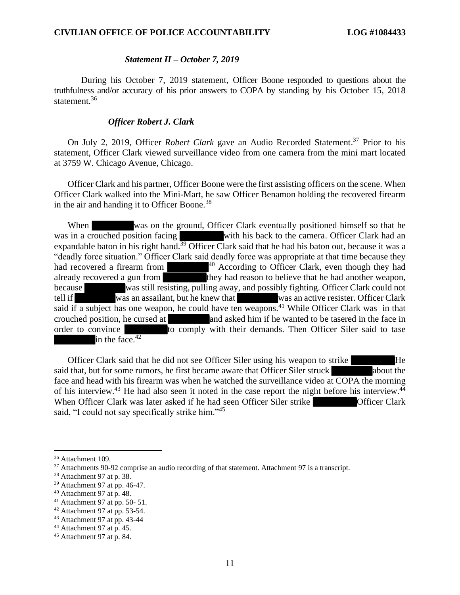# Statement II — October 7, 2019 *Statement II – October 7, 2019*

During his October 7, 2019 statement, Officer Boone responded to questions about the truthfulness and/or accuracy of his prior answers to COPA by standing by his October 15, 2018 statement.<sup>36</sup> During his October 7, 2019 statement, Officer Boone responded to questions about the truthfulness and/or accuracy of his prior answers to COPA by standing by his October 15, 2018 statement.<sup>36</sup>

# Officer Robert J. Clark *Officer Robert J. Clark*

On July 2, 2019, Officer *Robert Clark* gave an Audio Recorded Statement.<sup>37</sup> Prior to his statement, Officer Clark viewed surveillance video from one camera from the mini mart located statement, Officer Clark viewed surveillance video from one camera from the mini mart located at 3759 W. Chicago Avenue, Chicago. at 3759 W. Chicago Avenue, Chicago.

Officer Clark and his partner, Officer Boone were the first assisting officers on the scene. When Officer Clark walked into the Mini-Mart, he saw Officer Benamon holding the recovered firearm in the air and handing it to Officer Boone.38 Officer Clark and his partner, Officer Boone were the first assisting officers on the scene. When<br>Officer Clark walked into the Mini-Mart, he saw Officer Benamon holding the recovered firearm<br>in the air and handing it to O

When was on the ground, Officer Clark eventually positioned himself so that he was in a crouched position facing with his back to the camera. Officer Clark had an expandable baton in his right hand.<sup>39</sup> Officer Clark said that he had his baton out, because it was a "deadly force situation." Officer Clark said deadly force was appropriate at that time because they had recovered a firearm from  $\blacksquare$   $\blacksquare$   $\blacksquare$  According to Officer Clark, even though they had already recovered a gun from they had reason to believe that he had another weapon, because was still resisting, pulling away, and possibly fighting. Officer Clark could not tell if was an assailant, but he knew that was an active resister. Officer Clark tell if was an assailant, but he knew that already recovered a gun from they had reason to believe that he had another weapon, because was still resisting, pulling away, and possibly fighting. Officer Clark could not tell if was an assailant, but he knew that said crouched position, he cursed at and asked him if he wanted to be tasered in the face in order to convince to comply with their demands. Then Officer Siler said to tase in the face. $42$ When was on the ground, Officer Clark eventually positioned himself so that he was in a crouched position facing with his back to the camera. Officer Clark had an expandable baton in his right hand.<sup>39</sup> Officer Clark said crouched position, he cursed at and asked him if he wanted to be tasered in the face in order to convince to comply with their demands. Then Officer Siler said to tase in the face.<sup>42</sup>

Officer Clark said that he did not see Officer Siler using his weapon to strike He said that, but for some rumors, he first became aware that Officer Siler struck about the face and head with his firearm was when he watched the surveillance video at COPA the morning face and head with his firearm was when he watched the surveillance video at COPA the morning<br>of his interview.<sup>43</sup> He had also seen it noted in the case report the night before his interview.<sup>44</sup> When Officer Clark was later asked if he had seen Officer Siler strike **Officer Clark** said, "I could not say specifically strike him."<sup>45</sup>

<sup>36</sup> Attachment 109. <sup>36</sup> Attachment 109.

<sup>37</sup> Attachments 90-92 comprise an audio recording of that statement. Attachment 97 is a transcript. <sup>37</sup> Attachments 90-92 comprise an audio recording of that statement. Attachment 97 is a transcript.

<sup>38</sup> Attachment 97 at p. 38. <sup>38</sup> Attachment 97 at p. 38.

<sup>39</sup> Attachment 97 at pp. 46-47. <sup>39</sup> Attachment 97 at pp. 46-47.

 $40$  Attachment 97 at p. 48.

<sup>41</sup> Attachment 97 at pp. 50- 51. <sup>41</sup> Attachment 97 at pp. 50- 51.

 $42$  Attachment 97 at pp. 53-54.

<sup>43</sup> Attachment 97 at pp. 43-44 <sup>43</sup> Attachment 97 at pp. 43-44

 $44$  Attachment 97 at p. 45.

<sup>45</sup> Attachment 97 at p. 84. <sup>45</sup> Attachment 97 at p. 84.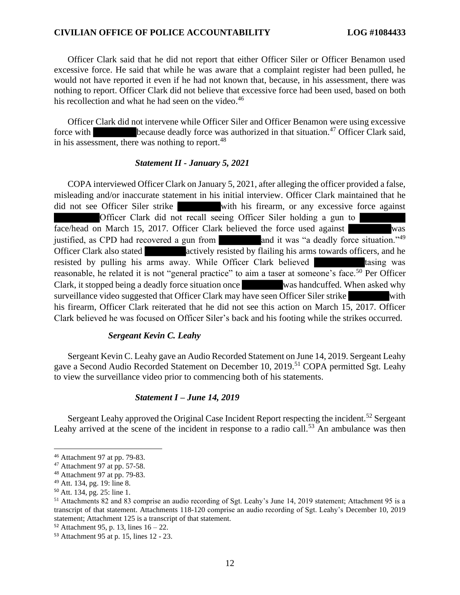Officer Clark said that he did not report that either Officer Siler or Officer Benamon used excessive force. He said that while he was aware that a complaint register had been pulled, he would not have reported it even if he had not known that, because, in his assessment, there was nothing to report. Officer Clark did not believe that excessive force had been used, based on both his recollection and what he had seen on the video.<sup>46</sup> Officer Clark said that he did not report that either Officer Siler or Officer Benamon used<br>excessive force. He said that while he was aware that a complaint register had been pulled, he<br>would not have reported it even if

Officer Clark did not intervene while Officer Siler and Officer Benamon were using excessive force with because deadly force was authorized in that situation.<sup>47</sup> Officer Clark said, force with because deadly force was authorized in that situation.<sup>47</sup> Officer Clark said, in his assessment, there was nothing to report.<sup>48</sup>

# Statement II - January 5, 2021 *Statement II - January 5, 2021*

COPA interviewed Officer Clark on January 5, 2021, after alleging the officer provided a false, misleading and/or inaccurate statement in his initial interview. Officer Clark maintained that he did not see Officer Siler strike with his firearm, or any excessive force against Officer Clark did not recall seeing Officer Siler holding a gun to face/head on March 15, 2017. Officer Clark believed the force used against justified, as CPD had recovered a gun from and it was "a deadly force situation."<sup>49</sup> Officer Clark also stated **actively** resisted by flailing his arms towards officers, and he resisted by pulling his arms away. While Officer Clark believed tasing was reasonable, he related it is not "general practice" to aim a taser at someone's face.<sup>50</sup> Per Officer Clark, it stopped being a deadly force situation once was handcuffed. When asked why surveillance video suggested that Officer Clark may have seen Officer Siler strike with his firearm, Officer Clark reiterated that he did not see this action on March 15, 2017. Officer Clark believed he was focused on Officer Siler's back and his footing while the strikes occurred. COPA interviewed Officer Clark on January 5, 2021, after alleging the officer provided a false, misleading and/or inaccurate statement in his initial interview. Officer Clark maintained that he did not see Officer Siler st Officer Clark also stated<br>
resisted by pulling his arms away. While Officer Clark believed<br>
reasonable, he related it is not "general practice" to aim a taser at someone's face.<sup>50</sup> Per Officer<br>
Clark, it stopped being a d

#### Sergeant Kevin C. Leahy *Sergeant Kevin C. Leahy*

Sergeant Kevin C. Leahy gave an Audio Recorded Statement on June 14, 2019. Sergeant Leahy Sergeant Kevin C. Leahy gave an Audio Recorded Statement on June 14, 2019. Sergeant Leahy gave a Second Audio Recorded Statement on December 10, 2019.<sup>51</sup> COPA permitted Sgt. Leahy to view the surveillance video prior to commencing both of his statements. to view the surveillance video prior to commencing both of his statements.

# Statement I — June 14, 2019 *Statement I – June 14, 2019*

Sergeant Leahy approved the Original Case Incident Report respecting the incident.<sup>52</sup> Sergeant<br>Leahy arrived at the scene of the incident in response to a radio call.<sup>53</sup> An ambulance was then Leahy arrived at the scene of the incident in response to a radio call.<sup>53</sup> An ambulance was then

<sup>46</sup> Attachment 97 at pp. 79-83. <sup>46</sup> Attachment 97 at pp. 79-83.

 $47$  Attachment 97 at pp. 57-58.

<sup>48</sup> Attachment 97 at pp. 79-83. <sup>48</sup> Attachment 97 at pp. 79-83.

<sup>49</sup> Att. 134, pg. 19: line 8. <sup>49</sup> Att. 134, pg. 19: line 8.

<sup>50</sup> Att. 134, pg. 25: line 1. <sup>50</sup> Att. 134, pg. 25: line 1.

<sup>51</sup> Attachments 82 and 83 comprise an audio recording of Sgt. Leahy's June 14, 2019 statement; Attachment 95 is a <sup>51</sup> Attachments 82 and 83 comprise an audio recording of Sgt. Leahy's June 14, 2019 statement; Attachment 95 is a transcript of that statement. Attachments 118-120 comprise an audio recording of Sgt. Leahy's December 10, statement; Attachment 125 is a transcript of that statement. statement; Attachment 125 is a transcript of that statement.

 $52$  Attachment 95, p. 13, lines  $16 - 22$ .

<sup>53</sup> Attachment 95 at p. 15, lines 12 - 23. <sup>53</sup> Attachment 95 at p. 15, lines 12 - 23.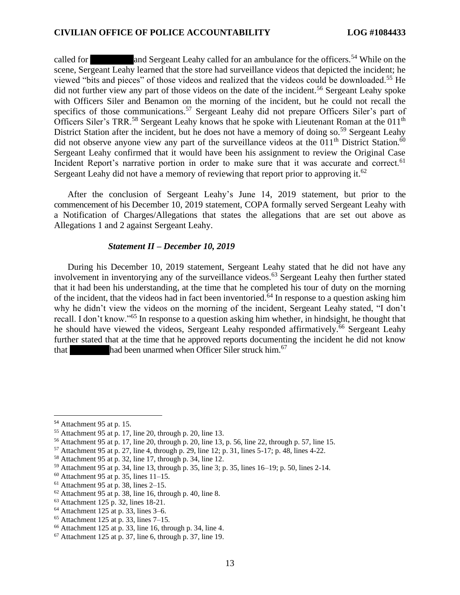called for and Sergeant Leahy called for an ambulance for the officers.<sup>54</sup> While on the scene, Sergeant Leahy learned that the store had surveillance videos that depicted the incident; he viewed "bits and pieces" of those videos and realized that the videos could be downloaded.55 He did not further view any part of those videos on the date of the incident.<sup>56</sup> Sergeant Leahy spoke with Officers Siler and Benamon on the morning of the incident, but he could not recall the specifics of those communications.<sup>57</sup> Sergeant Leahy did not prepare Officers Siler's part of Officers Siler's TRR.<sup>58</sup> Sergeant Leahy knows that he spoke with Lieutenant Roman at the 011<sup>th</sup> District Station after the incident, but he does not have a memory of doing so.<sup>59</sup> Sergeant Leahy did not observe anyone view any part of the surveillance videos at the 011<sup>th</sup> District Station.<sup>60</sup> Sergeant Leahy confirmed that it would have been his assignment to review the Original Case Sergeant Leahy confirmed that it would have been his assignment to review the Original Case Incident Report's narrative portion in order to make sure that it was accurate and correct.<sup>61</sup> Sergeant Leahy did not have a memory of reviewing that report prior to approving it.<sup>62</sup> called for<br>scene, Sergeant Leahy learned that the store had surveillance for the officers.<sup>54</sup> While on the<br>scene, Sergeant Leahy learned that the store had surveillance videos that depicted the incident; he<br>viewed "bits a

After the conclusion of Sergeant Leahy's June 14, 2019 statement, but prior to the After the conclusion of Sergeant Leahy's June 14, 2019 statement, but prior to the commencement of his December 10, 2019 statement, COPA formally served Sergeant Leahy with a Notification of Charges/Allegations that states the allegations that are set out above as Allegations 1 and 2 against Sergeant Leahy. Allegations 1 and 2 against Sergeant Leahy.

# Statement II — December 10, 2019 *Statement II – December 10, 2019*

During his December 10, 2019 statement, Sergeant Leahy stated that he did not have any During his December 10, 2019 statement, Sergeant Leahy stated that he did not have any involvement in inventorying any of the surveillance videos.<sup>63</sup> Sergeant Leahy then further stated that it had been his understanding, at the time that he completed his tour of duty on the morning of the incident, that the videos had in fact been inventoried.<sup>64</sup> In response to a question asking him why he didn't view the videos on the morning of the incident, Sergeant Leahy stated, "I don't recall. I don't know."<sup>65</sup> In response to a question asking him whether, in hindsight, he thought that<br>he should have viewed the videos, Sergeant Leahy responded affirmatively.<sup>66</sup> Sergeant Leahy he should have viewed the videos, Sergeant Leahy responded affirmatively.<sup>66</sup> Sergeant Leahy further stated that at the time that he approved reports documenting the incident he did not know that  $\blacksquare$  had been unarmed when Officer Siler struck him.<sup>67</sup> that had been unarmed when Officer Siler struck him.<sup>67</sup> that it had been his understanding, at the time that he completed his tour of duty on the morning<br>of the incident, that the videos had in fact been inventoried.<sup>64</sup> In response to a question asking him<br>why he didn't view t

<sup>54</sup> Attachment 95 at p. 15. <sup>54</sup> Attachment 95 at p. 15.

<sup>55</sup> Attachment 95 at p. 17, line 20, through p. 20, line 13. <sup>55</sup> Attachment 95 at p. 17, line 20, through p. 20, line 13.

<sup>56</sup> Attachment 95 at p. 17, line 20, through p. 20, line 13, p. 56, line 22, through p. 57, line 15. <sup>56</sup> Attachment 95 at p. 17, line 20, through p. 20, line 13, p. 56, line 22, through p. 57, line 15.

 $57$  Attachment 95 at p. 27, line 4, through p. 29, line 12; p. 31, lines 5-17; p. 48, lines 4-22.

<sup>58</sup> Attachment 95 at p. 32, line 17, through p. 34, line 12. <sup>58</sup> Attachment 95 at p. 32, line 17, through p. 34, line 12.

<sup>59</sup> Attachment 95 at p. 34, line 13, through p. 35, line 3; p. 35, lines 16-19; p. 50, lines 2-14. <sup>59</sup> Attachment 95 at p. 34, line 13, through p. 35, line 3; p. 35, lines 16–19; p. 50, lines 2-14.

 $60$  Attachment 95 at p. 35, lines 11–15.

 $61$  Attachment 95 at p. 38, lines 2–15.

 $62$  Attachment 95 at p. 38, line 16, through p. 40, line 8.

<sup>63</sup> Attachment 125 p. 32, lines 18-21. <sup>63</sup> Attachment 125 p. 32, lines 18-21.

<sup>64</sup> Attachment 125 at p. 33, lines 3-6. <sup>64</sup> Attachment 125 at p. 33, lines 3–6.

<sup>65</sup> Attachment 125 at p. 33, lines 7-15. <sup>65</sup> Attachment 125 at p. 33, lines 7–15.

<sup>66</sup> Attachment 125 at p. 33, line 16, through p. 34, line 4. <sup>66</sup> Attachment 125 at p. 33, line 16, through p. 34, line 4.

 $67$  Attachment 125 at p. 37, line 6, through p. 37, line 19.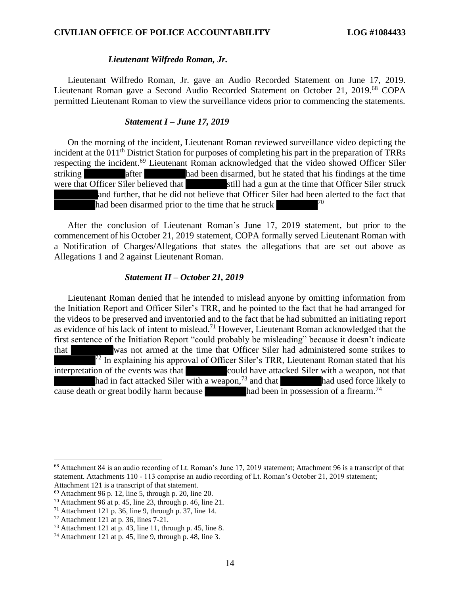# Lieutenant Wilfredo Roman, Jr. *Lieutenant Wilfredo Roman, Jr.*

Lieutenant Wilfredo Roman, Jr. gave an Audio Recorded Statement on June 17, 2019. Lieutenant Roman gave a Second Audio Recorded Statement on October 21, 2019.<sup>68</sup> COPA permitted Lieutenant Roman to view the surveillance videos prior to commencing the statements. Lieutenant Wilfredo Roman, Jr. gave an Audio Recorded Statement on June 17, 2019.<br>Lieutenant Roman gave a Second Audio Recorded Statement on October 21, 2019.<sup>68</sup> COPA<br>permitted Lieutenant Roman to view the surveillance vi

# Statement I — June 17, 2019 *Statement I – June 17, 2019*

On the morning of the incident, Lieutenant Roman reviewed surveillance video depicting the On the morning of the incident, Lieutenant Roman reviewed surveillance video depicting the incident at the 011<sup>th</sup> District Station for purposes of completing his part in the preparation of TRRs respecting the incident.<sup>69</sup> Lieutenant Roman acknowledged that the video showed Officer Siler striking after had been disarmed, but he stated that his findings at the time were that Officer Siler believed that still had a gun at the time that Officer Siler struck and further, that he did not believe that Officer Siler had been alerted to the fact that had been disarmed prior to the time that he struck striking after had been disarmed, but he stated that his findings at the time<br>were that Officer Siler believed that still had a gun at the time that Officer Siler struck<br>and further, that he did not believe that Officer Si

After the conclusion of Lieutenant Roman's June 17, 2019 statement, but prior to the commencement of his October 21, 2019 statement, COPA formally served Lieutenant Roman with a Notification of Charges/Allegations that states the allegations that are set out above as Allegations 1 and 2 against Lieutenant Roman. After the conclusion of Lieutenant Roman's June 17, 2019 statement, but prior to the commencement of his October 21, 2019 statement, COPA formally served Lieutenant Roman with a Notification of Charges/Allegations that sta

# Statement II — October 21, 2019 *Statement II – October 21, 2019*

Lieutenant Roman denied that he intended to mislead anyone by omitting information from Lieutenant Roman denied that he intended to mislead anyone by omitting information from<br>the Initiation Report and Officer Siler's TRR, and he pointed to the fact that he had arranged for the videos to be preserved and inventoried and to the fact that he had submitted an initiating report as evidence of his lack of intent to mislead.<sup>71</sup> However, Lieutenant Roman acknowledged that the first sentence of the Initiation Report "could probably be misleading" because it doesn't indicate that was not armed at the time that Officer Siler had administered some strikes to  $\sqrt{72}$  In explaining his approval of Officer Siler's TRR, Lieutenant Roman stated that his interpretation of the events was that **interpretation** could have attacked Siler with a weapon, not that and in fact attacked Siler with a weapon,<sup>73</sup> and that had used force likely to cause death or great bodily harm because had been in possession of a firearm.<sup>74</sup> cause death or great bodily harm because had been in possession of a firearm.<sup>74</sup> the videos to be preserved and inventoried and to the fact that he had submitted an initiating report<br>as evidence of his lack of intent to mislead.<sup>71</sup> However, Lieutenant Roman acknowledged that the<br>first sentence of the

<sup>&</sup>lt;sup>68</sup> Attachment 84 is an audio recording of Lt. Roman's June 17, 2019 statement; Attachment 96 is a transcript of that statement. Attachments 110 - 113 comprise an audio recording of Lt. Roman's October 21, 2019 statement; statement. Attachments 110 - 113 comprise an audio recording of Lt. Roman's October 21, 2019 statement; Attachment 121 is a transcript of that statement. Attachment 121 is a transcript of that statement.

<sup>69</sup> Attachment 96 p. 12, line 5, through p. 20, line 20. <sup>69</sup> Attachment 96 p. 12, line 5, through p. 20, line 20.

 $70$  Attachment 96 at p. 45, line 23, through p. 46, line 21.

 $71$  Attachment 121 p. 36, line 9, through p. 37, line 14.

<sup>72</sup> Attachment 121 at p. 36, lines 7-21. <sup>72</sup> Attachment 121 at p. 36, lines 7-21.

 $73$  Attachment 121 at p. 43, line 11, through p. 45, line 8.

<sup>74</sup> Attachment 121 at p. 45, line 9, through p. 48, line 3. <sup>74</sup> Attachment 121 at p. 45, line 9, through p. 48, line 3.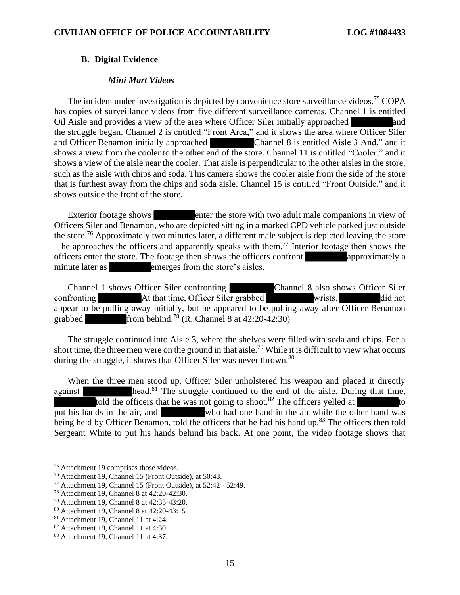#### B. Digital Evidence **B. Digital Evidence**

### Mini Mart Videos *Mini Mart Videos*

The incident under investigation is depicted by convenience store surveillance videos.<sup>75</sup> COPA has copies of surveillance videos from five different surveillance cameras. Channel 1 is entitled Oil Aisle and provides a view of the area where Officer Siler initially approached and the struggle began. Channel 2 is entitled "Front Area," and it shows the area where Officer Siler and Officer Benamon initially approached Channel 8 is entitled Aisle 3 And," and it shows a view from the cooler to the other end of the store. Channel 11 is entitled "Cooler," and it shows a view of the aisle near the cooler. That aisle is perpendicular to the other aisles in the store, shows a view of the aisle near the cooler. That aisle is perpendicular to the other aisles in the store, such as the aisle with chips and soda. This camera shows the cooler aisle from the side of the store that is furthest away from the chips and soda aisle. Channel 15 is entitled "Front Outside," and it shows outside the front of the store. has copies of surveillance videos from five different surveillance cameras. Channel 1 is entitled<br>Oil Aisle and provides a view of the area where Officer Siler initially approached and<br>the struggle began. Channel 2 is enti such as the aisle with chips and soda. This camera shows the cooler aisle from the side of the store<br>that is furthest away from the chips and soda aisle. Channel 15 is entitled "Front Outside," and it<br>shows outside the fro

Exterior footage shows enter the store with two adult male companions in view of Officers Siler and Benamon, who are depicted sitting in a marked CPD vehicle parked just outside the store.<sup>76</sup> Approximately two minutes later, a different male subject is depicted leaving the store - he approaches the officers and apparently speaks with them.<sup>77</sup> Interior footage then shows the officers enter the store. The footage then shows the officers confront approximately a officers enter the store. The footage then shows the officers confront approximately a minute later as **emerges** from the store's aisles. Exterior footage shows enter the store with two adult male companions in view of Officers Siler and Benamon, who are depicted sitting in a marked CPD vehicle parked just outside the store.<sup>76</sup> Approximately two minutes lat

Channel 1 shows Officer Siler confronting Channel 8 also shows Officer Siler confronting At that time, Officer Siler grabbed wrists. did not Channel 1 shows Officer Siler confronting<br>
Channel 8 also shows Officer Siler<br>
confronting<br>
At that time, Officer Siler grabbed<br>
appear to be pulling away initially, but he appeared to be pulling away after Officer Benamon grabbed from behind.<sup>78</sup> (R. Channel 8 at  $42:20-42:30$ )

The struggle continued into Aisle 3, where the shelves were filled with soda and chips. For a short time, the three men were on the ground in that aisle.<sup>79</sup> While it is difficult to view what occurs during the struggle, it shows that Officer Siler was never thrown.<sup>80</sup> The struggle continued into Aisle 3, where the shelves were filled with soda and chips. For a short time, the three men were on the ground in that aisle.<sup>79</sup> While it is difficult to view what occurs during the struggle,

When the three men stood up, Officer Siler unholstered his weapon and placed it directly against head.<sup>81</sup> The struggle continued to the end of the aisle. During that time, told the officers that he was not going to shoot.<sup>82</sup> The officers yelled at to When the three men stood up, Officer Siler unholstered his weapon and placed it directly against<br>head.<sup>81</sup> The struggle continued to the end of the aisle. During that time,<br>told the officers that he was not going to shoot. being held by Officer Benamon, told the officers that he had his hand up.<sup>83</sup> The officers then told<br>Sergeant White to put his hands behind his back. At one point, the video footage shows that Sergeant White to put his hands behind his back. At one point, the video footage shows that

<sup>75</sup> Attachment 19 comprises those videos. <sup>75</sup> Attachment 19 comprises those videos.

<sup>76</sup> Attachment 19, Channel 15 (Front Outside), at 50:43. <sup>76</sup> Attachment 19, Channel 15 (Front Outside), at 50:43.

<sup>77</sup> Attachment 19, Channel 15 (Front Outside), at 52:42 - 52:49. <sup>77</sup> Attachment 19, Channel 15 (Front Outside), at 52:42 - 52:49.

<sup>78</sup> Attachment 19, Channel 8 at 42:20-42:30. <sup>78</sup> Attachment 19, Channel 8 at 42:20-42:30.

<sup>79</sup> Attachment 19, Channel 8 at 42:35-43:20. <sup>79</sup> Attachment 19, Channel 8 at 42:35-43:20.

<sup>&</sup>lt;sup>80</sup> Attachment 19, Channel 8 at 42:20-43:15

<sup>81</sup> Attachment 19, Channel 11 at 4:24. <sup>81</sup> Attachment 19, Channel 11 at 4:24.

<sup>82</sup> Attachment 19, Channel 11 at 4:30. <sup>82</sup> Attachment 19, Channel 11 at 4:30.

<sup>83</sup> Attachment 19, Channel 11 at 4:37. <sup>83</sup> Attachment 19, Channel 11 at 4:37.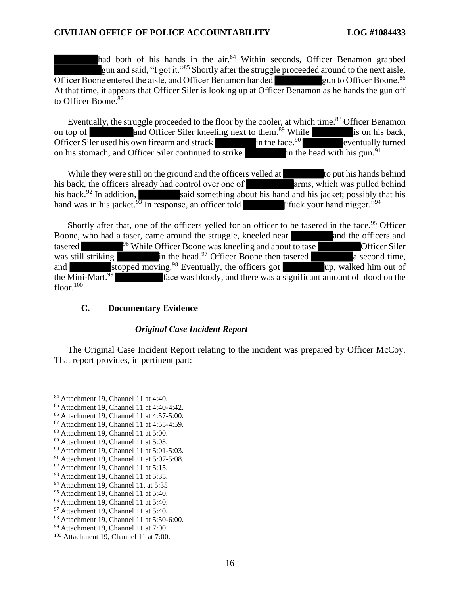had both of his hands in the air.<sup>84</sup> Within seconds, Officer Benamon grabbed gun and said, "I got it."<sup>85</sup> Shortly after the struggle proceeded around to the next aisle, Officer Boone entered the aisle, and Officer Benamon handed gun to Officer Boone.<sup>86</sup> At that time, it appears that Officer Siler is looking up at Officer Benamon as he hands the gun off At that time, it appears that Officer Siler is looking up at Officer Benamon as he hands the gun off to Officer Boone.<sup>87</sup> had both of his hands in the air.<sup>84</sup> Within seconds, Officer Benamon grabbed<br>gun and said, "I got it."<sup>85</sup> Shortly after the struggle proceeded around to the next aisle,<br>Officer Boone entered the aisle, and Officer Benamo

Eventually, the struggle proceeded to the floor by the cooler, at which time.<sup>88</sup> Officer Benamon<br>on top of and Officer Siler kneeling next to them.<sup>89</sup> While is on his back,<br>Officer Siler used his own firearm and struck i on top of and Officer Siler kneeling next to them.<sup>89</sup> While is on his back,<br>Officer Siler used his own firearm and struck in the face.<sup>90</sup> eventually turned Officer Siler used his own firearm and struck in the face.<sup>90</sup> eventually turned on his stomach, and Officer Siler continued to strike  $\frac{1}{2}$  in the head with his gun.<sup>91</sup> on his stomach, and Officer Siler continued to strike

While they were still on the ground and the officers yelled at to put his hands behind his back, the officers already had control over one of arms, which was pulled behind his back.<sup>92</sup> In addition, said something about his hand and his jacket; possibly that his hand was in his jacket. $\frac{93}{9}$  In response, an officer told "fuck your hand nigger."<sup>94</sup> While they were still on the ground and the officers yelled at to put his hands behind<br>his back, the officers already had control over one of arms, which was pulled behind<br>his back.<sup>92</sup> In addition, said something about hi

Shortly after that, one of the officers yelled for an officer to be tasered in the face.<sup>95</sup> Officer Boone, who had a taser, came around the struggle, kneeled near and the officers and tasered assered and the officer Boone Boone, who had a taser, came around the struggle, kneeled near and the officers and tasered <sup>96</sup> While Officer Boone was kneeling and about to tase **Officer Siler** was still striking in the head.<sup>97</sup> Officer Boone then tasered a second time, and stopped moving.<sup>98</sup> Eventually, the officers got up, walked him out of the Mini-Mart.<sup>99</sup> face was bloody, and there was a significant amount of blood on the floor.<sup>100</sup> floor. $100$ 

### C. Documentary Evidence **C. Documentary Evidence**

### Original Case Incident Report *Original Case Incident Report*

The Original Case Incident Report relating to the incident was prepared by Officer McCoy. The Original Case Incident Report relating to the incident was prepared by Officer McCoy. That report provides, in pertinent part: That report provides, in pertinent part:

<sup>84</sup> Attachment 19, Channel 11 at 4:40. <sup>84</sup> Attachment 19, Channel 11 at 4:40.

<sup>85</sup> Attachment 19, Channel 11 at 4:40-4:42. <sup>85</sup> Attachment 19, Channel 11 at 4:40-4:42.

<sup>86</sup> Attachment 19, Channel 11 at 4:57-5:00. <sup>86</sup> Attachment 19, Channel 11 at 4:57-5:00.

<sup>87</sup> Attachment 19, Channel 11 at 4:55-4:59. <sup>87</sup> Attachment 19, Channel 11 at 4:55-4:59.

<sup>88</sup> Attachment 19, Channel 11 at 5:00. <sup>88</sup> Attachment 19, Channel 11 at 5:00.

<sup>89</sup> Attachment 19, Channel 11 at 5:03. <sup>89</sup> Attachment 19, Channel 11 at 5:03.

<sup>9°</sup> Attachment 19, Channel 11 at 5:01-5:03. <sup>90</sup> Attachment 19, Channel 11 at 5:01-5:03.

<sup>91</sup> Attachment 19, Channel 11 at 5:07-5:08. <sup>91</sup> Attachment 19, Channel 11 at 5:07-5:08.

<sup>92</sup> Attachment 19, Channel 11 at 5:15. <sup>92</sup> Attachment 19, Channel 11 at 5:15.

<sup>93</sup> Attachment 19, Channel 11 at 5:35. <sup>93</sup> Attachment 19, Channel 11 at 5:35.

<sup>94</sup> Attachment 19, Channel 11, at 5:35 <sup>94</sup> Attachment 19, Channel 11, at 5:35

<sup>95</sup> Attachment 19, Channel 11 at 5:40. <sup>95</sup> Attachment 19, Channel 11 at 5:40.

<sup>96</sup> Attachment 19, Channel 11 at 5:40. <sup>96</sup> Attachment 19, Channel 11 at 5:40.

<sup>97</sup> Attachment 19, Channel 11 at 5:40. <sup>97</sup> Attachment 19, Channel 11 at 5:40.

<sup>98</sup> Attachment 19, Channel 11 at 5:50-6:00. <sup>98</sup> Attachment 19, Channel 11 at 5:50-6:00.

<sup>99</sup> Attachment 19, Channel 11 at 7:00. <sup>99</sup> Attachment 19, Channel 11 at 7:00.

<sup>100</sup> Attachment 19, Channel 11 at 7:00. <sup>100</sup> Attachment 19, Channel 11 at 7:00.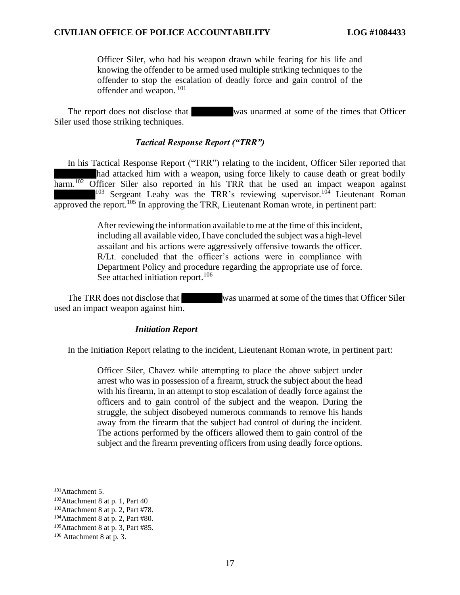Officer Siler, who had his weapon drawn while fearing for his life and knowing the offender to be armed used multiple striking techniques to the offender to stop the escalation of deadly force and gain control of the offender and weapon.  $101$ Officer Siler, who had his weapon drawn while fearing for his life and<br>knowing the offender to be armed used multiple striking techniques to the<br>offender to stop the escalation of deadly force and gain control of the<br>offen

The report does not disclose that was unarmed at some of the times that Officer Siler used those striking techniques. Siler used those striking techniques.

#### Tactical Response Report ("TRR") *Tactical Response Report ("TRR")*

In his Tactical Response Report ("TRR") relating to the incident, Officer Siler reported that In his Tactical Response Report ("TRR") relating to the incident, Officer Siler reported that had attacked him with a weapon, using force likely to cause death or great bodily had attacked him with a weapon, using force likely to cause death or great bodily<br>harm.<sup>102</sup> Officer Siler also reported in his TRR that he used an impact weapon against  $103$  Sergeant Leahy was the TRR's reviewing supervisor.<sup>104</sup> Lieutenant Roman approved the report.<sup>105</sup> In approving the TRR, Lieutenant Roman wrote, in pertinent part:

> After reviewing the information available to me at the time of this incident, including all available video, I have concluded the subject was a high-level assailant and his actions were aggressively offensive towards the officer. R/Lt. concluded that the officer's actions were in compliance with Department Policy and procedure regarding the appropriate use of force. See attached initiation report.<sup>106</sup> After reviewing the information available to me at the time of this incident, including all available video, I have concluded the subject was a high-level assailant and his actions were aggressively offensive towards the o

The TRR does not disclose that was unarmed at some of the times that Officer Siler used an impact weapon against him. used an impact weapon against him.

#### Initiation Report *Initiation Report*

In the Initiation Report relating to the incident, Lieutenant Roman wrote, in pertinent part: In the Initiation Report relating to the incident, Lieutenant Roman wrote, in pertinent part:

Officer Siler, Chavez while attempting to place the above subject under Officer Siler, Chavez while attempting to place the above subject under arrest who was in possession of a firearm, struck the subject about the head arrest who was in possession of a firearm, struck the subject about the head with his firearm, in an attempt to stop escalation of deadly force against the officers and to gain control of the subject and the weapon. During the struggle, the subject disobeyed numerous commands to remove his hands away from the firearm that the subject had control of during the incident. The actions performed by the officers allowed them to gain control of the subject and the firearm preventing officers from using deadly force options. with his firearm, in an attempt to stop escalation of deadly force against the officers and to gain control of the subject and the weapon. During the struggle, the subject disobeyed numerous commands to remove his hands aw

<sup>&</sup>lt;sup>101</sup>Attachment 5.

<sup>&</sup>lt;sup>102</sup> Attachment 8 at p. 1, Part 40

 $103$ Attachment 8 at p. 2, Part #78.

 $104$ Attachment 8 at p. 2, Part #80.

 $105$ Attachment 8 at p. 3, Part #85.

<sup>106</sup> Attachment 8 at p. 3. <sup>106</sup> Attachment 8 at p. 3.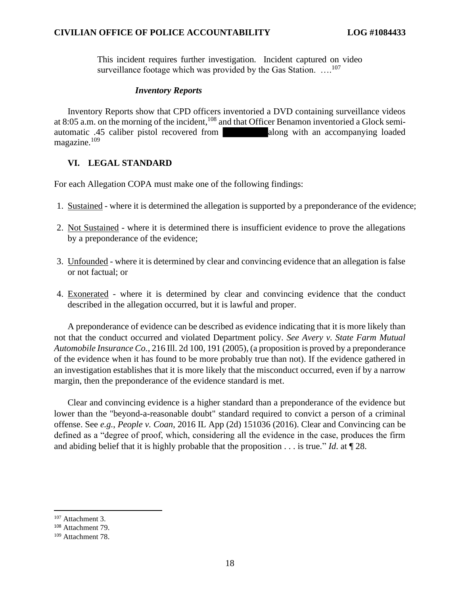This incident requires further investigation. Incident captured on video This incident requires further investigation. Incident captured on video surveillance footage which was provided by the Gas Station. ...<sup>107</sup>

# Inventory Reports *Inventory Reports*

Inventory Reports show that CPD officers inventoried a DVD containing surveillance videos Inventory Reports show that CPD officers inventoried a DVD containing surveillance videos at 8:05 a.m. on the morning of the incident, <sup>108</sup> and that Officer Benamon inventoried a Glock semiautomatic .45 caliber pistol recovered from along with an accompanying loaded magazine.<sup>109</sup> magazine.<sup>109</sup>

# VI. LEGAL STANDARD **VI. LEGAL STANDARD**

For each Allegation COPA must make one of the following findings:

- For each Allegation COPA must make one of the following findings:<br>1. Sustained where it is determined the allegation is supported by a preponderance of the evidence;
- 2. Not Sustained where it is determined there is insufficient evidence to prove the allegations by a preponderance of the evidence; by a preponderance of the evidence;
- 3. Unfounded where it is determined by clear and convincing evidence that an allegation is false or not factual; or
- 4. Exonerated where it is determined by clear and convincing evidence that the conduct described in the allegation occurred, but it is lawful and proper. 3. Unfounded - where it is determined by clear and convincing evidence that an allegation is false<br>or not factual; or<br>4. <u>Exonerated</u> - where it is determined by clear and convincing evidence that the conduct<br>described in

A preponderance of evidence can be described as evidence indicating that it is more likely than not that the conduct occurred and violated Department policy. See Avery v. State Farm Mutual A preponderance of evidence can be described as evidence indicating that it is more likely than<br>not that the conduct occurred and violated Department policy. See Avery v. State Farm Mutual<br>Automobile Insurance Co., 216 Ill of the evidence when it has found to be more probably true than not). If the evidence gathered in<br>an investigation establishes that it is more likely that the misconduct occurred, even if by a narrow<br>margin, then the prepo an investigation establishes that it is more likely that the misconduct occurred, even if by a narrow margin, then the preponderance of the evidence standard is met.

Clear and convincing evidence is a higher standard than a preponderance of the evidence but Clear and convincing evidence is a higher standard than a preponderance of the evidence but<br>lower than the "beyond-a-reasonable doubt" standard required to convict a person of a criminal offense. See e.g., People v. Coan, 2016 IL App (2d) 151036 (2016). Clear and Convincing can be defined as a "degree of proof, which, considering all the evidence in the case, produces the firm and abiding belief that it is highly probable that the proposition . . . is true." Id. at  $\P$  28. offense. See *e.g.*, *People v. Coan*, 2016 IL App (2d) 151036 (2016). Clear and Convincing can be defined as a "degree of proof, which, considering all the evidence in the case, produces the firm and abiding belief that

<sup>107</sup> Attachment 3. <sup>107</sup> Attachment 3.

<sup>108</sup> Attachment 79. <sup>108</sup> Attachment 79.

<sup>109</sup> Attachment 78. <sup>109</sup> Attachment 78.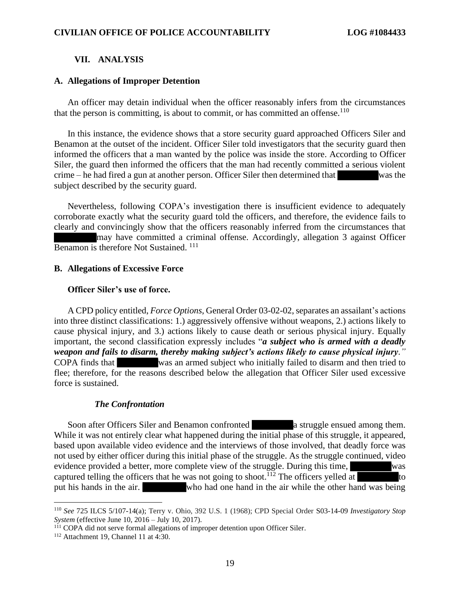### VII. ANALYSIS **VII. ANALYSIS**

### A. Allegations of Improper Detention **A. Allegations of Improper Detention**

An officer may detain individual when the officer reasonably infers from the circumstances An officer may detain individual when the officer reasonably infers from the circumstances that the person is committing, is about to commit, or has committed an offense. $110$ 

In this instance, the evidence shows that a store security guard approached Officers Siler and Benamon at the outset of the incident. Officer Siler told investigators that the security guard then informed the officers that a man wanted by the police was inside the store. According to Officer Siler, the guard then informed the officers that the man had recently committed a serious violent crime — he had fired a gun at another person. Officer Siler then determined that was the subject described by the security guard. Siler, the guard then informed the officers that the man had recently committed a serious violent<br>crime – he had fired a gun at another person. Officer Siler then determined that<br>subject described by the security guard.<br>Ne In this instance, the evidence shows that a store security guard approached Officers Siler and<br>Benamon at the outset of the incident. Officer Siler told investigators that the security guard then<br>informed the officers that

corroborate exactly what the security guard told the officers, and therefore, the evidence fails to corroborate exactly what the security guard told the officers, and therefore, the evidence fails to clearly and convincingly show that the officers reasonably inferred from the circumstances that<br>may have committed a criminal offense. Accordingly, allegation 3 against Officer<br>Benamon is therefore Not Sustained.<sup>111</sup> may have committed a criminal offense. Accordingly, allegation 3 against Officer Benamon is therefore Not Sustained.<sup>111</sup>

#### B. Allegations of Excessive Force **B. Allegations of Excessive Force**

### Officer Siler's use of force. **Officer Siler's use of force.**

A CPD policy entitled, Force Options, General Order 03-02-02, separates an assailant's actions A CPD policy entitled, *Force Options*, General Order 03-02-02, separates an assailant's actions into three distinct classifications: 1.) aggressively offensive without weapons, 2.) actions likely to cause physical injury, and 3.) actions likely to cause death or serious physical injury. Equally important, the second classification expressly includes "a subject who is armed with a deadly weapon and fails to disarm, thereby making subject's actions likely to cause physical injury." COPA finds that was an armed subject who initially failed to disarm and then tried to flee; therefore, for the reasons described below the allegation that Officer Siler used excessive force is sustained. into three distinct classifications: 1.) aggressively offensive without weapons, 2.) actions likely to cause physical injury, and 3.) actions likely to cause death or serious physical injury. Equally important, the second COPA finds that was an armed subject who initially failed to disarm and then tried to flee; therefore, for the reasons described below the allegation that Officer Siler used excessive force is sustained.

### The Confrontation *The Confrontation*

Soon after Officers Siler and Benamon confronted **a** struggle ensued among them. While it was not entirely clear what happened during the initial phase of this struggle, it appeared, based upon available video evidence and the interviews of those involved, that deadly force was not used by either officer during this initial phase of the struggle. As the struggle continued, video evidence provided a better, more complete view of the struggle. During this time, was captured telling the officers that he was not going to shoot.<sup>112</sup> The officers yelled at to put his hands in the air. who had one hand in the air while the other hand was being put his hands in the air. who had one hand in the air while the other hand was being While it was not entirely clear what happened during the initial phase of this struggle, it appeared, based upon available video evidence and the interviews of those involved, that deadly force was not used by either offic

<sup>&</sup>lt;sup>110</sup> See 725 ILCS 5/107-14(a); Terry v. Ohio, 392 U.S. 1 (1968); CPD Special Order S03-14-09 *Investigatory Stop* System (effective June 10, 2016 – July 10, 2017). System (effective June 10, 2016 — July 10, 2017).

<sup>111</sup> COPA did not serve formal allegations of improper detention upon Officer Siler. <sup>111</sup> COPA did not serve formal allegations of improper detention upon Officer Siler.

<sup>112</sup> Attachment 19, Channel 11 at 4:30. <sup>112</sup> Attachment 19, Channel 11 at 4:30.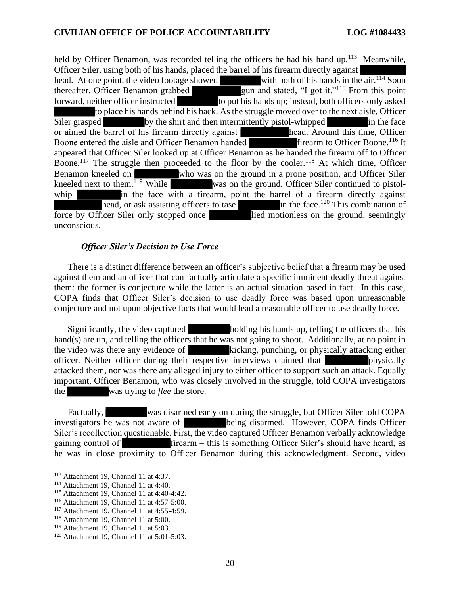held by Officer Benamon, was recorded telling the officers he had his hand up.<sup>113</sup> Meanwhile,<br>Officer Siler, using both of his hands, placed the barrel of his firearm directly against<br>head. At one point, the video footage Officer Siler, using both of his hands, placed the barrel of his firearm directly against<br>head. At one point, the video footage showed with both of his hands in the air.<sup>114</sup> Soon head. At one point, the video footage showed thereafter, Officer Benamon grabbed gun and stated, "I got it."<sup>115</sup> From this point forward, neither officer instructed to put his hands up; instead, both officers only asked to place his hands behind his back. As the struggle moved over to the next aisle, Officer Siler grasped by the shirt and then intermittently pistol-whipped in the face<br>or aimed the barrel of his firearm directly against<br>head. Around this time, Officer or aimed the barrel of his firearm directly against Boone entered the aisle and Officer Benamon handed firearm to Officer Boone.<sup>116</sup> It appeared that Officer Siler looked up at Officer Benamon as he handed the firearm off to Officer to place his hands behind his back. As the struggle moved over to the next aisle, Officer<br>Siler grasped<br>or aimed the barrel of his firearm directly against<br>Boone entered the aisle and Officer Benamon handed<br>and Around this Benamon kneeled on who was on the ground in a prone position, and Officer Siler<br>kneeled next to them.<sup>119</sup> While was on the ground, Officer Siler continued to pistolkneeled next to them.<sup>119</sup> While was on the ground, Officer Siler continued to pistolwhip in the face with a firearm, point the barrel of a firearm directly against whip in the face with a firearm, point the barrel of a firearm directly against<br>head, or ask assisting officers to tase force by Officer Siler only stopped once lied motionless on the ground, seemingly unconscious. unconscious.

### Officer Siler's Decision to Use Force *Officer Siler's Decision to Use Force*

There is a distinct difference between an officer's subjective belief that a firearm may be used There is a distinct difference between an officer's subjective belief that a firearm may be used against them and an officer that can factually articulate a specific imminent deadly threat against them: the former is conjecture while the latter is an actual situation based in fact. In this case, COPA finds that Officer Siler's decision to use deadly force was based upon unreasonable conjecture and not upon objective facts that would lead a reasonable officer to use deadly force. conjecture and not upon objective facts that would lead a reasonable officer to use deadly force. against them and an officer that can factually articulate a specific imminent deadly threat against<br>them: the former is conjecture while the latter is an actual situation based in fact. In this case,<br>COPA finds that Office

Significantly, the video captured holding his hands up, telling the officers that his hand(s) are up, and telling the officers that he was not going to shoot. Additionally, at no point in the video was there any evidence of kicking, punching, or physically attacking either officer. Neither officer during their respective interviews claimed that physically attacked them, nor was there any alleged injury to either officer to support such an attack. Equally attacked them, nor was there any alleged injury to either officer to support such an attack. Equally important, Officer Benamon, who was closely involved in the struggle, told COPA investigators<br>the was trying to *flee* the store.<br>Factually, was disarmed early on during the struggle, but Officer Siler told COPA the was trying to *flee* the store. Significantly, the video captured<br>holding his hands up, telling the officers that his<br>hand(s) are up, and telling the officers that he was not going to shoot. Additionally, at no point in<br>the video was there any evidence o

Factually, was disarmed early on during the struggle, but Officer Siler told COPA investigators he was not aware of being disarmed. However, COPA finds Officer Siler's recollection questionable. First, the video captured Officer Benamon verbally acknowledge gaining control of firearm — this is something Officer Siler's should have heard, as he was in close proximity to Officer Benamon during this acknowledgment. Second, video investigators he was not aware of **Lands** being disarmed. However, COPA finds Officer Siler's recollection questionable. First, the video captured Officer Benamon verbally acknowledge gaining control of **Container and Cont** 

<sup>113</sup> Attachment 19, Channel 11 at 4:37. <sup>113</sup> Attachment 19, Channel 11 at 4:37.

 $114$  Attachment 19, Channel 11 at 4:40.

<sup>115</sup> Attachment 19, Channel 11 at 4:40-4:42. <sup>115</sup> Attachment 19, Channel 11 at 4:40-4:42.

<sup>116</sup> Attachment 19, Channel 11 at 4:57-5:00. <sup>116</sup> Attachment 19, Channel 11 at 4:57-5:00.

<sup>117</sup> Attachment 19, Channel 11 at 4:55-4:59. <sup>117</sup> Attachment 19, Channel 11 at 4:55-4:59.

<sup>118</sup> Attachment 19, Channel 11 at 5:00. <sup>118</sup> Attachment 19, Channel 11 at 5:00.

<sup>119</sup> Attachment 19, Channel 11 at 5:03. <sup>119</sup> Attachment 19, Channel 11 at 5:03.

<sup>120</sup> Attachment 19, Channel 11 at 5:01-5:03. <sup>120</sup> Attachment 19, Channel 11 at 5:01-5:03.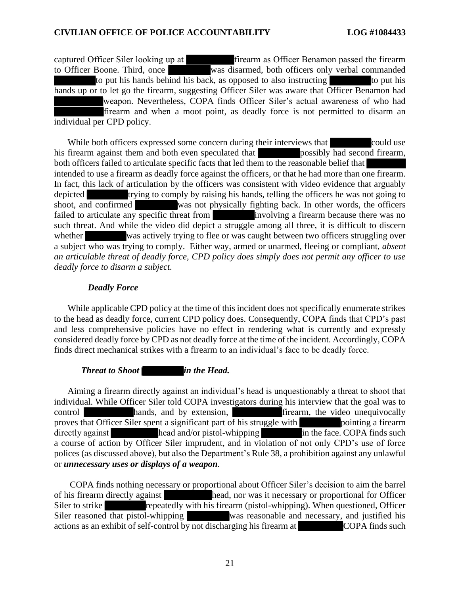captured Officer Siler looking up at firearm as Officer Benamon passed the firearm captured Officer Siler looking up at **the set of the set of the set of the set of the set of the set of the set of the set of the set of the set of the set of the set of the set of the set of the set of the set of the set** to put his hands behind his back, as opposed to also instructing to put his hands up or to let go the firearm, suggesting Officer Siler was aware that Officer Benamon had weapon. Nevertheless, COPA finds Officer Siler's actual awareness of who had firearm and when a moot point, as deadly force is not permitted to disarm an individual per CPD policy. individual per CPD policy. to put his hands behind his back, as opposed to also instructing to put his hands up or to let go the firearm, suggesting Officer Siler was aware that Officer Benamon had weapon. Nevertheless, COPA finds Officer Siler's ac

While both officers expressed some concern during their interviews that could use While both officers expressed some concern during their interviews that<br>his firearm against them and both even speculated that<br>possibly had second firearm, both officers failed to articulate specific facts that led them to the reasonable belief that both officers failed to articulate specific facts that led them to the reasonable belief that intended to use a firearm as deadly force against the officers, or that he had more than one firearm.<br>In fact, this lack of articulation by the officers was consistent with video evidence that arguably<br>depicted trying to c In fact, this lack of articulation by the officers was consistent with video evidence that arguably depicted trying to comply by raising his hands, telling the officers he was not going to shoot, and confirmed was not physically fighting back. In other words, the officers failed to articulate any specific threat from involving a firearm because there was no such threat. And while the video did depict a struggle among all three, it is difficult to discern whether was actively trying to flee or was caught between two officers struggling over a subject who was trying to comply. Either way, armed or unarmed, fleeing or compliant, absent an articulable threat of deadly force, CPD policy does simply does not permit any officer to use deadly force to disarm a subject. *deadly force to disarm a subject.* failed to articulate any specific threat from<br>such threat. And while the video did depict a struggle among all three, it is difficult to discern<br>whether was actively trying to flee or was caught between two officers strugg

# Deadly Force *Deadly Force*

While applicable CPD policy at the time of this incident does not specifically enumerate strikes While applicable CPD policy at the time of this incident does not specifically enumerate strikes to the head as deadly force, current CPD policy does. Consequently, COPA finds that CPD's past and less comprehensive policies have no effect in rendering what is currently and expressly considered deadly force by CPD as not deadly force at the time of the incident. Accordingly, COPA finds direct mechanical strikes with a firearm to an individual's face to be deadly force. to the head as deadly force, current CPD policy does. Consequently, COPA finds that CPD's past<br>and less comprehensive policies have no effect in rendering what is currently and expressly<br>considered deadly force by CPD as n

**Threat to Shoot in the Head.** 

Aiming a firearm directly against an individual's head is unquestionably a threat to shoot that individual. While Officer Siler told COPA investigators during his interview that the goal was to control hands, and by extension, firearm, the video unequivocally proves that Officer Siler spent a significant part of his struggle with pointing a firearm directly against head and/or pistol-whipping in the face. COPA finds such a course of action by Officer Siler imprudent, and in violation of not only CPD's use of force polices (as discussed above), but also the Department's Rule 38, a prohibition against any unlawful or unnecessary uses or displays of a weapon. Aiming a firearm directly against an individual's head is unquestionably a threat to shoot that<br>individual. While Officer Siler told COPA investigators during his interview that the goal was to<br>control hands, and by extens directly against<br>a course of action by Officer Siler imprudent, and in violation of not only CPD's use of force<br>polices (as discussed above), but also the Department's Rule 38, a prohibition against any unlawful<br>or *unnece* 

COPA finds nothing necessary or proportional about Officer Siler's decision to aim the barrel<br>of his firearm directly against<br>Siler to strike<br>Siler to strike<br>Siler reasoned that pistol-whipping<br>Siler reasoned that pistol-w of his firearm directly against head, nor was it necessary or proportional for Officer Siler to strike repeatedly with his firearm (pistol-whipping). When questioned, Officer Siler reasoned that pistol-whipping was reasonable and necessary, and justified his actions as an exhibit of self-control by not discharging his firearm at COPA finds such actions as an exhibit of self-control by not discharging his firearm at COPA finds such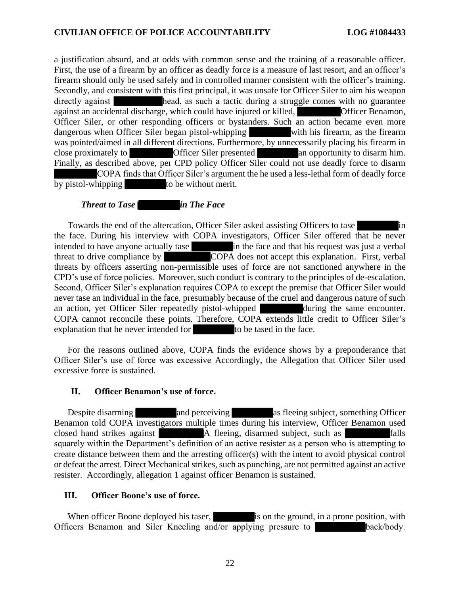a justification absurd, and at odds with common sense and the training of a reasonable officer. First, the use of a firearm by an officer as deadly force is a measure of last resort, and an officer's firearm should only be used safely and in controlled manner consistent with the officer's training. Secondly, and consistent with this first principal, it was unsafe for Officer Siler to aim his weapon Secondly, and consistent with this first principal, it was unsafe for Officer Siler to aim his weapon<br>directly against head, as such a tactic during a struggle comes with no guarantee against an accidental discharge, which could have injured or killed, **Configure 19** Officer Benamon, Officer Siler, or other responding officers or bystanders. Such an action became even more dangerous when Officer Siler b Officer Siler, or other responding officers or bystanders. Such an action became even more dangerous when Officer Siler began pistol-whipping with his firearm, as the firearm was pointed/aimed in all different directions. Furthermore, by unnecessarily placing his firearm in was pointed/aimed in all different directions. Furthermore, by unnecessarily placing his firearm in close proximately to **a** Officer Siler presented an opportunity to disarm him. Finally, as described above, per CPD policy Officer Siler could not use deadly force to disarm Finally, as described above, per CPD policy Officer Siler could not use deadly force to disarm COPA finds that Officer Siler's argument the he used a less-lethal form of deadly force by pistol-whipping to be without merit. by pistol-whipping to be without merit. a justification absurd, and at odds with common sense and the training of a reasonable officer.<br>First, the use of a firearm by an officer as deadly force is a measure of last resort, and an officer's<br>firearm should only be

## Threat to Tase in The Face *Threat to Tase in The Face*

Towards the end of the altercation, Officer Siler asked assisting Officers to tase in the face. During his interview with COPA investigators, Officer Siler offered that he never intended to have anyone actually tase in the face and that his request was just a verbal Towards the end of the altercation, Officer Siler asked assisting Officers to tase<br>the face. During his interview with COPA investigators, Officer Siler offered that he never<br>intended to have anyone actually tase<br>threat to threats by officers asserting non-permissible uses of force are not sanctioned anywhere in the threats by officers asserting non-permissible uses of force are not sanctioned anywhere in the CPD's use of force policies. Moreover, such conduct is contrary to the principles of de-escalation. CPD's use of force policies. Moreover, such conduct is contrary to the principles of de-escalation. Second, Officer Siler's explanation requires COPA to except the premise that Officer Siler would Second, Officer Siler's explanation requires COPA to except the premise that Officer Siler would never tase an individual in the face, presumably because of the cruel and dangerous nature of such never tase an individual in the face, presumably because of the cruel and dangerous nature of such<br>an action, yet Officer Siler repeatedly pistol-whipped<br>during the same encounter. COPA cannot reconcile these points. Therefore, COPA extends little credit to Officer Siler's explanation that he never intended for the tased in the face.

For the reasons outlined above, COPA finds the evidence shows by a preponderance that Officer Siler's use of force was excessive Accordingly, the Allegation that Officer Siler used excessive force is sustained. COPA cannot reconcile these points. Therefore, COPA extends little credit to Officer Siler's<br>explanation that he never intended for<br>For the reasons outlined above, COPA finds the evidence shows by a preponderance that<br>Offi

# II. Officer Benamon's use of force. **II. Officer Benamon's use of force.**

Despite disarming and perceiving as fleeing subject, something Officer Benamon told COPA investigators multiple times during his interview, Officer Benamon used closed hand strikes against **A** fleeing, disarmed subject, such as **Falls** Benamon told COPA investigators multiple times during his interview, Officer Benamon used<br>closed hand strikes against A fleeing, disarmed subject, such as **a state of the set of the set of the set of the set of the set of** create distance between them and the arresting officer(s) with the intent to avoid physical control create distance between them and the arresting officer(s) with the intent to avoid physical control or defeat the arrest. Direct Mechanical strikes, such as punching, are not permitted against an active resister. Accordingly, allegation 1 against officer Benamon is sustained. resister. Accordingly, allegation 1 against officer Benamon is sustained.

# III. Officer Boone's use of force. **III. Officer Boone's use of force.**

When officer Boone deployed his taser, is on the ground, in a prone position, with Officers Benamon and Siler Kneeling and/or applying pressure to back/body. Officers Benamon and Siler Kneeling and/or applying pressure to back/body.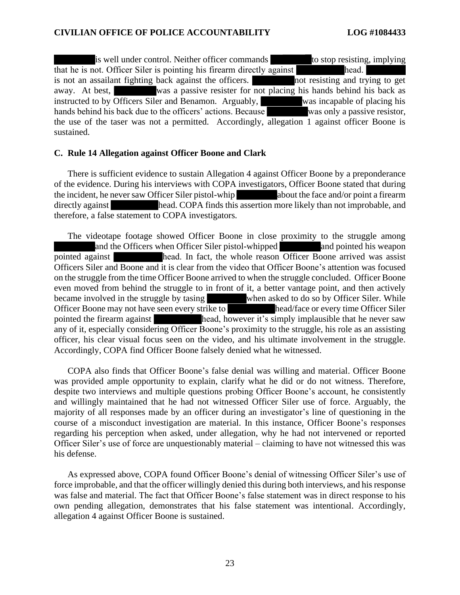is well under control. Neither officer commands to stop resisting, implying that he is not. Officer Siler is pointing his firearm directly against<br>is not an assailant fighting back against the officers.<br>In the sisting and trying to get is not an assailant fighting back against the officers. away. At best, was a passive resister for not placing his hands behind his back as instructed to by Officers Siler and Benamon. Arguably, was incapable of placing his hands behind his back due to the officers' actions. Because was only a passive resistor, the use of the taser was not a permitted. Accordingly, allegation 1 against officer Boone is the use of the taser was not a permitted. Accordingly, allegation 1 against officer Boone is sustained. sustained. that he is not. Officer Siler is pointing his firearm directly against<br>is not an assailant fighting back against the officers.<br>away. At best, was a passive resister for not placing his hands behind his back as<br>instructed t

### C. Rule 14 Allegation against Officer Boone and Clark **C. Rule 14 Allegation against Officer Boone and Clark**

There is sufficient evidence to sustain Allegation 4 against Officer Boone by a preponderance There is sufficient evidence to sustain Allegation 4 against Officer Boone by a preponderance of the evidence. During his interviews with COPA investigators, Officer Boone stated that during of the evidence. During his interviews with COPA investigators, Officer Boone stated that during<br>the incident, he never saw Officer Siler pistol-whip<br>about the face and/or point a firearm directly against head. COPA finds this assertion more likely than not improbable, and therefore, a false statement to COPA investigators.

The videotape footage showed Officer Boone in close proximity to the struggle among and the Officers when Officer Siler pistol-whipped and pointed his weapon pointed against head. In fact, the whole reason Officer Boone arrived was assist Officers Siler and Boone and it is clear from the video that Officer Boone's attention was focused on the struggle from the time Officer Boone arrived to when the struggle concluded. Officer Boone even moved from behind the struggle to in front of it, a better vantage point, and then actively became involved in the struggle by tasing when asked to do so by Officer Siler. While Officer Boone may not have seen every strike to head/face or every time Officer Siler even moved from behind the struggle to in front of it, a better vantage point, and then actively<br>became involved in the struggle by tasing<br>Officer Boone may not have seen every strike to<br>pointed the firearm against<br>head, h any of it, especially considering Officer Boone's proximity to the struggle, his role as an assisting any of it, especially considering Officer Boone's proximity to the struggle, his role as an assisting officer, his clear visual focus seen on the video, and his ultimate involvement in the struggle. officer, his clear visual focus seen on the video, and his ultimate involvement in the struggle. Accordingly, COPA find Officer Boone falsely denied what he witnessed. therefore, a false statement to COPA investigators.<br>The videotape footage showed Officer Boone in close proximity to the struggle among<br>and the Officers when Officer Siler pistol-whipped<br>pointed against<br>head. In fact, the

COPA also finds that Officer Boone's false denial was willing and material. Officer Boone Accordingly, COPA find Officer Boone falsely denied what he witnessed.<br>COPA also finds that Officer Boone's false denial was willing and material. Officer Boone<br>was provided ample opportunity to explain, clarify what he di despite two interviews and multiple questions probing Officer Boone's account, he consistently despite two interviews and multiple questions probing Officer Boone's account, he consistently and willingly maintained that he had not witnessed Officer Siler use of force. Arguably, the majority of all responses made by an officer during an investigator's line of questioning in the course of a misconduct investigation are material. In this instance, Officer Boone's responses regarding his perception when asked, under allegation, why he had not intervened or reported Officer Siler's use of force are unquestionably material — claiming to have not witnessed this was Officer Siler's use of force are unquestionably material – claiming to have not witnessed this was his defense. his defense. and willingly maintained that he had not witnessed Officer Siler use of force. Arguably, the majority of all responses made by an officer during an investigator's line of questioning in the course of a misconduct investiga

As expressed above, COPA found Officer Boone's denial of witnessing Officer Siler's use of As expressed above, COPA found Officer Boone's denial of witnessing Officer Siler's use of force improbable, and that the officer willingly denied this during both interviews, and his response was false and material. The fact that Officer Boone's false statement was in direct response to his own pending allegation, demonstrates that his false statement was intentional. Accordingly, allegation 4 against Officer Boone is sustained. was false and material. The fact that Officer Boone's false statement was in direct response to his own pending allegation, demonstrates that his false statement was intentional. Accordingly, allegation 4 against Officer B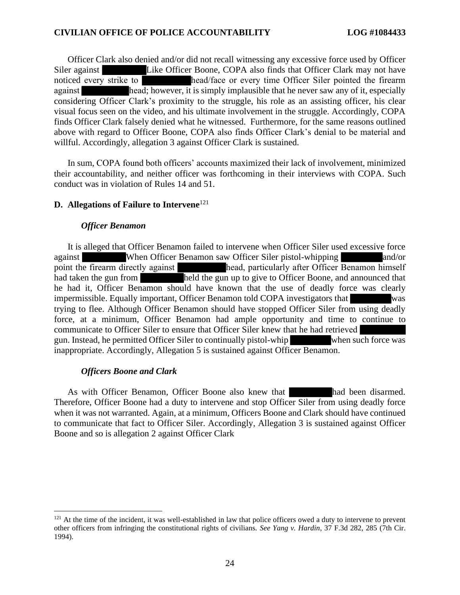Officer Clark also denied and/or did not recall witnessing any excessive force used by Officer Officer Clark also denied and/or did not recall witnessing any excessive force used by Officer Siler against **Like Officer Boone, COPA also finds that Officer Clark may not have** noticed every strike to head/face or every time Officer Siler pointed the firearm against head; however, it is simply implausible that he never saw any of it, especially considering Officer Clark's proximity to the struggle, his role as an assisting officer, his clear visual focus seen on the video, and his ultimate involvement in the struggle. Accordingly, COPA finds Officer Clark falsely denied what he witnessed. Furthermore, for the same reasons outlined above with regard to Officer Boone, COPA also finds Officer Clark's denial to be material and willful. Accordingly, allegation 3 against Officer Clark is sustained. noticed every strike to head/face or every time Officer Siler pointed the firearm<br>against head; however, it is simply implausible that he never saw any of it, especially<br>considering Officer Clark's proximity to the struggl visual focus seen on the video, and his ultimate involvement in the struggle. Accordingly, COPA<br>finds Officer Clark falsely denied what he witnessed. Furthermore, for the same reasons outlined<br>above with regard to Officer

In sum, COPA found both officers' accounts maximized their lack of involvement, minimized In sum, COPA found both officers' accounts maximized their lack of involvement, minimized their accountability, and neither officer was forthcoming in their interviews with COPA. Such conduct was in violation of Rules 14 and 51. conduct was in violation of Rules 14 and 51.

# D. Allegations of Failure to Intervene121 **D. Allegations of Failure to Intervene**<sup>121</sup>

### Officer Benamon *Officer Benamon*

It is alleged that Officer Benamon failed to intervene when Officer Siler used excessive force against When Officer Benamon saw Officer Siler pistol-whipping and/or point the firearm directly against head, particularly after Officer Benamon himself had taken the gun from held the gun up to give to Officer Boone, and announced that It is alleged that Officer Benamon failed to intervene when Officer Siler used excessive force<br>against<br>when Officer Benamon saw Officer Siler pistol-whipping<br>point the firearm directly against<br>had taken the gun from<br>held t impermissible. Equally important, Officer Benamon told COPA investigators that was trying to flee. Although Officer Benamon should have stopped Officer Siler from using deadly<br>force, at a minimum, Officer Benamon had ample opportunity and time to continue to<br>communicate to Officer Siler to ensure that Of force, at a minimum, Officer Benamon had ample opportunity and time to continue to communicate to Officer Siler to ensure that Officer Siler knew that he had retrieved gun. Instead, he permitted Officer Siler to continually pistol-whip when such force was inappropriate. Accordingly, Allegation 5 is sustained against Officer Benamon. inappropriate. Accordingly, Allegation 5 is sustained against Officer Benamon.

# Officers Boone and Clark *Officers Boone and Clark*

As with Officer Benamon, Officer Boone also knew that had been disarmed. Therefore, Officer Boone had a duty to intervene and stop Officer Siler from using deadly force when it was not warranted. Again, at a minimum, Officers Boone and Clark should have continued to communicate that fact to Officer Siler. Accordingly, Allegation 3 is sustained against Officer Boone and so is allegation 2 against Officer Clark Boone and so is allegation 2 against Officer Clark As with Officer Benamon, Officer Boone also knew that had been disarmed.<br>Therefore, Officer Boone had a duty to intervene and stop Officer Siler from using deadly force<br>when it was not warranted. Again, at a minimum, Offic

<sup>&</sup>lt;sup>121</sup> At the time of the incident, it was well-established in law that police officers owed a duty to intervene to prevent  $^{121}$  At the time of the incident, it was well-established in law that police officers owed a duty to intervene to prevent other officers from infringing the constitutional rights of civilians. See Yang v. Hardin, 37 F. 1994). 1994).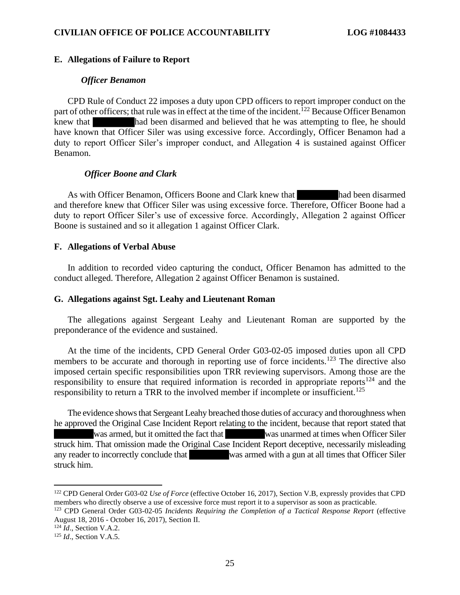### E. Allegations of Failure to Report **E. Allegations of Failure to Report**

#### Officer Benamon *Officer Benamon*

CPD Rule of Conduct 22 imposes a duty upon CPD officers to report improper conduct on the CPD Rule of Conduct 22 imposes a duty upon CPD officers to report improper conduct on the part of other officers; that rule was in effect at the time of the incident.<sup>122</sup> Because Officer Benamon knew that had been disarmed and believed that he was attempting to flee, he should have known that Officer Siler was using excessive force. Accordingly, Officer Benamon had a duty to report Officer Siler's improper conduct, and Allegation 4 is sustained against Officer Benamon. have known that Officer Siler was using excessive force. Accordingly, Officer Benamon had a duty to report Officer Siler's improper conduct, and Allegation 4 is sustained against Officer Benamon.

# Officer Boone and Clark *Officer Boone and Clark*

As with Officer Benamon, Officers Boone and Clark knew that had been disarmed and therefore knew that Officer Siler was using excessive force. Therefore, Officer Boone had a duty to report Officer Siler's use of excessive force. Accordingly, Allegation 2 against Officer Boone is sustained and so it allegation 1 against Officer Clark. and therefore knew that Officer Siler was using excessive force. Therefore, Officer Boone had a duty to report Officer Siler's use of excessive force. Accordingly, Allegation 2 against Officer Boone is sustained and so it

### F. Allegations of Verbal Abuse **F. Allegations of Verbal Abuse**

In addition to recorded video capturing the conduct, Officer Benamon has admitted to the conduct alleged. Therefore, Allegation 2 against Officer Benamon is sustained. conduct alleged. Therefore, Allegation 2 against Officer Benamon is sustained.

### G. Allegations against Sgt. Leahy and Lieutenant Roman **G. Allegations against Sgt. Leahy and Lieutenant Roman**

The allegations against Sergeant Leahy and Lieutenant Roman are supported by the preponderance of the evidence and sustained. preponderance of the evidence and sustained.

At the time of the incidents, CPD General Order G03-02-05 imposed duties upon all CPD members to be accurate and thorough in reporting use of force incidents.<sup>123</sup> The directive also imposed certain specific responsibilities upon TRR reviewing supervisors. Among those are the responsibility to ensure that required information is recorded in appropriate reports<sup>124</sup> and the responsibility to return a TRR to the involved member if incomplete or insufficient.<sup>125</sup> At the time of the incidents, CPD General Order G03-02-05 imposed duties upon all CPD<br>members to be accurate and thorough in reporting use of force incidents.<sup>123</sup> The directive also<br>imposed certain specific responsibiliti

The evidence shows that Sergeant Leahy breached those duties of accuracy and thoroughness when he approved the Original Case Incident Report relating to the incident, because that report stated that was armed, but it omitted the fact that was unarmed at times when Officer Siler struck him. That omission made the Original Case Incident Report deceptive, necessarily misleading struck him. That omission made the Original Case Incident Report deceptive, necessarily misleading any reader to incorrectly conclude that was armed with a gun at all times that Officer Siler struck him. struck him The evidence shows that Sergeant Leahy breached those duties of accuracy and thoroughness when<br>he approved the Original Case Incident Report relating to the incident, because that report stated that<br>was armed, but it omitt

<sup>&</sup>lt;sup>122</sup> CPD General Order G03-02 Use of Force (effective October 16, 2017), Section V.B, expressly provides that CPD members who directly observe a use of excessive force must report it to a supervisor as soon as practicable. members who directly observe a use of excessive force must report it to a supervisor as soon as practicable.

<sup>&</sup>lt;sup>123</sup> CPD General Order G03-02-05 *Incidents Requiring the Completion of a Tactical Response Report* (effective August 18, 2016 - October 16, 2017), Section II. August 18, 2016 - October 16, 2017), Section II.

<sup>&</sup>lt;sup>124</sup> *Id.*, Section V.A.2.

<sup>125</sup> Id., Section V.A.5. <sup>125</sup> *Id*., Section V.A.5.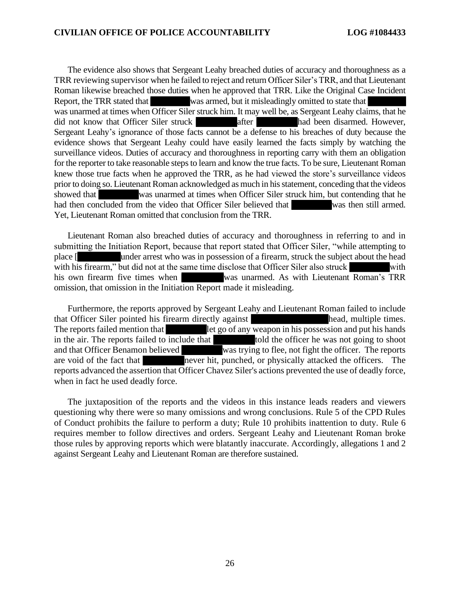The evidence also shows that Sergeant Leahy breached duties of accuracy and thoroughness as a TRR reviewing supervisor when he failed to reject and return Officer Siler's TRR, and that Lieutenant Roman likewise breached those duties when he approved that TRR. Like the Original Case Incident Report, the TRR stated that was armed, but it misleadingly omitted to state that was unarmed at times when Officer Siler struck him. It may well be, as Sergeant Leahy claims, that he did not know that Officer Siler struck after had been disarmed. However, Sergeant Leahy's ignorance of those facts cannot be a defense to his breaches of duty because the evidence shows that Sergeant Leahy could have easily learned the facts simply by watching the surveillance videos. Duties of accuracy and thoroughness in reporting carry with them an obligation for the reporter to take reasonable steps to learn and know the true facts. To be sure, Lieutenant Roman for the reporter to take reasonable steps to learn and know the true facts. To be sure, Lieutenant Roman knew those true facts when he approved the TRR, as he had viewed the store's surveillance videos knew those true facts when he approved the TRR, as he had viewed the store's surveillance videos prior to doing so. Lieutenant Roman acknowledged as much in his statement, conceding that the videos prior to doing so. Lieutenant Roman acknowledged as much in his statement, conceding that the videos showed that was unarmed at times when Officer Siler struck him, but contending that he had then concluded from the video that Officer Siler believed that was then still armed. had then concluded from the video that Officer Siler believed that was then still armed. Yet, Lieutenant Roman omitted that conclusion from the TRR. Yet, Lieutenant Roman omitted that conclusion from the TRR. The evidence also shows that Sergeant Leahy breached duties of accuracy and thoroughness as a TRR reviewing supervisor when he failed to reject and return Officer Siler's TRR, and that Lieutenant Roman likewise breached th was unarmed at times when Officer Siler struck him. It may well be, as Sergeant Leahy claims, that he did not know that Officer Siler struck after after a had been disarmed. However, Sergeant Leahy's ignorance of those fac

Lieutenant Roman also breached duties of accuracy and thoroughness in referring to and in submitting the Initiation Report, because that report stated that Officer Siler, "while attempting to place [ under arrest who was in possession of a firearm, struck the subject about the head with his firearm," but did not at the same time disclose that Officer Siler also struck with his own firearm five times when was unarmed. As with Lieutenant Roman's TRR his own firearm five times when was unarmed. As with Lieutenant Roman's TRR omission, that omission in the Initiation Report made it misleading. Lieutenant Roman also breached duties of accuracy and thoroughness in referring to and in<br>submitting the Initiation Report, because that report stated that Officer Siler, "while attempting to<br>place [

Furthermore, the reports approved by Sergeant Leahy and Lieutenant Roman failed to include that Officer Siler pointed his firearm directly against head, multiple times. that Officer Siler pointed his firearm directly against<br>The reports failed mention that let go of any weapon in his possession and put his hands  $\Gamma$ let go of any weapon in his possession and put his hands in the air. The reports failed to include that told the officer he was not going to shoot and that Officer Benamon believed was trying to flee, not fight the officer. The reports are void of the fact that never hit, punched, or physically attacked the officers. The are void of the fact that never hit, punched, or physically attacked the officers. The reports advanced the assertion that Officer Chavez Siler's actions prevented the use of deadly force, when in fact he used deadly force. The reports failed mention that let go of any weapon in his possession and put his hands<br>in the air. The reports failed to include that that to the officer he was not going to shoot<br>and that Officer Benamon believed was tr

The juxtaposition of the reports and the videos in this instance leads readers and viewers questioning why there were so many omissions and wrong conclusions. Rule 5 of the CPD Rules of Conduct prohibits the failure to perform a duty; Rule 10 prohibits inattention to duty. Rule 6 requires member to follow directives and orders. Sergeant Leahy and Lieutenant Roman broke those rules by approving reports which were blatantly inaccurate. Accordingly, allegations 1 and 2 against Sergeant Leahy and Lieutenant Roman are therefore sustained. against Sergeant Leahy and Lieutenant Roman are therefore sustained. when in fact he used deadly force.<br>The juxtaposition of the reports and the videos in this instance leads readers and viewers<br>questioning why there were so many omissions and wrong conclusions. Rule 5 of the CPD Rules<br>of C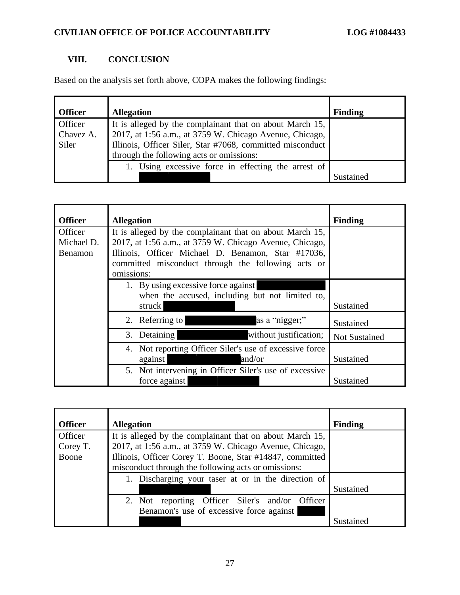### VIII. CONCLUSION **VIII. CONCLUSION**

Based on the analysis set forth above, COPA makes the following findings: Based on the analysis set forth above, COPA makes the following findings:

| <b>Officer</b>                | <b>Allegation</b>                                                                                                                                                                | <b>Finding</b> |
|-------------------------------|----------------------------------------------------------------------------------------------------------------------------------------------------------------------------------|----------------|
| Officer<br>Chavez A.<br>Siler | It is alleged by the complainant that on about March 15,<br>2017, at 1:56 a.m., at 3759 W. Chicago Avenue, Chicago,<br>Illinois, Officer Siler, Star #7068, committed misconduct |                |
|                               | through the following acts or omissions:                                                                                                                                         |                |
|                               | 1. Using excessive force in effecting the arrest of                                                                                                                              |                |
|                               |                                                                                                                                                                                  | Sustained      |

| <b>Officer</b>                          | <b>Allegation</b>                                                                                                                                                                                                                             | <b>Finding</b> |
|-----------------------------------------|-----------------------------------------------------------------------------------------------------------------------------------------------------------------------------------------------------------------------------------------------|----------------|
| Officer<br>Michael D.<br><b>Benamon</b> | It is alleged by the complainant that on about March 15,<br>2017, at 1:56 a.m., at 3759 W. Chicago Avenue, Chicago,<br>Illinois, Officer Michael D. Benamon, Star #17036,<br>committed misconduct through the following acts or<br>omissions: |                |
|                                         | 1. By using excessive force against<br>when the accused, including but not limited to,<br>struck                                                                                                                                              | Sustained      |
|                                         | as a "nigger;"<br>2. Referring to                                                                                                                                                                                                             | Sustained      |
|                                         | without justification;<br>3. Detaining                                                                                                                                                                                                        | Not Sustained  |
|                                         | 4. Not reporting Officer Siler's use of excessive force<br>and/or<br>against                                                                                                                                                                  | Sustained      |
|                                         | 5. Not intervening in Officer Siler's use of excessive<br>force against                                                                                                                                                                       | Sustained      |

| <b>Officer</b> | <b>Allegation</b>                                        | <b>Finding</b> |
|----------------|----------------------------------------------------------|----------------|
| Officer        | It is alleged by the complainant that on about March 15, |                |
| Corey T.       | 2017, at 1:56 a.m., at 3759 W. Chicago Avenue, Chicago,  |                |
| Boone          | Illinois, Officer Corey T. Boone, Star #14847, committed |                |
|                | misconduct through the following acts or omissions:      |                |
|                | 1. Discharging your taser at or in the direction of      |                |
|                |                                                          | Sustained      |
|                | 2. Not reporting Officer Siler's and/or Officer          |                |
|                | Benamon's use of excessive force against                 |                |
|                |                                                          | Sustained      |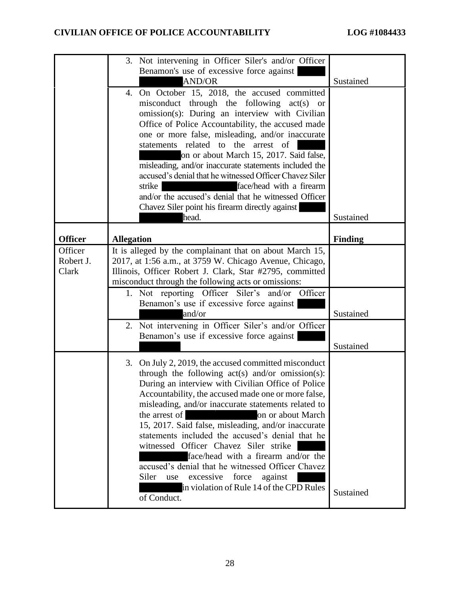|                | 3. Not intervening in Officer Siler's and/or Officer                                                       |           |
|----------------|------------------------------------------------------------------------------------------------------------|-----------|
|                | Benamon's use of excessive force against<br><b>AND/OR</b>                                                  | Sustained |
|                | 4. On October 15, 2018, the accused committed                                                              |           |
|                | misconduct through the following act(s) or                                                                 |           |
|                | omission(s): During an interview with Civilian                                                             |           |
|                | Office of Police Accountability, the accused made                                                          |           |
|                | one or more false, misleading, and/or inaccurate                                                           |           |
|                | statements related to the arrest of<br>on or about March 15, 2017. Said false,                             |           |
|                | misleading, and/or inaccurate statements included the                                                      |           |
|                | accused's denial that he witnessed Officer Chavez Siler                                                    |           |
|                | face/head with a firearm<br>strike                                                                         |           |
|                | and/or the accused's denial that he witnessed Officer                                                      |           |
|                | Chavez Siler point his firearm directly against                                                            |           |
|                | head.                                                                                                      | Sustained |
| <b>Officer</b> | <b>Allegation</b>                                                                                          | Finding   |
| Officer        | It is alleged by the complainant that on about March 15,                                                   |           |
| Robert J.      | 2017, at 1:56 a.m., at 3759 W. Chicago Avenue, Chicago,                                                    |           |
| Clark          | Illinois, Officer Robert J. Clark, Star #2795, committed                                                   |           |
|                | misconduct through the following acts or omissions:<br>1. Not reporting Officer Siler's and/or Officer     |           |
|                | Benamon's use if excessive force against                                                                   |           |
|                | and/or                                                                                                     | Sustained |
|                | 2. Not intervening in Officer Siler's and/or Officer                                                       |           |
|                | Benamon's use if excessive force against                                                                   |           |
|                |                                                                                                            | Sustained |
|                | 3. On July 2, 2019, the accused committed misconduct                                                       |           |
|                | through the following $act(s)$ and/or omission(s):                                                         |           |
|                | During an interview with Civilian Office of Police                                                         |           |
|                | Accountability, the accused made one or more false,<br>misleading, and/or inaccurate statements related to |           |
|                | the arrest of<br>on or about March                                                                         |           |
|                | 15, 2017. Said false, misleading, and/or inaccurate                                                        |           |
|                | statements included the accused's denial that he                                                           |           |
|                | witnessed Officer Chavez Siler strike                                                                      |           |
|                | face/head with a firearm and/or the<br>accused's denial that he witnessed Officer Chavez                   |           |
|                | Siler<br>force<br>against<br>excessive<br>use                                                              |           |
|                | in violation of Rule 14 of the CPD Rules                                                                   |           |
|                | of Conduct.                                                                                                | Sustained |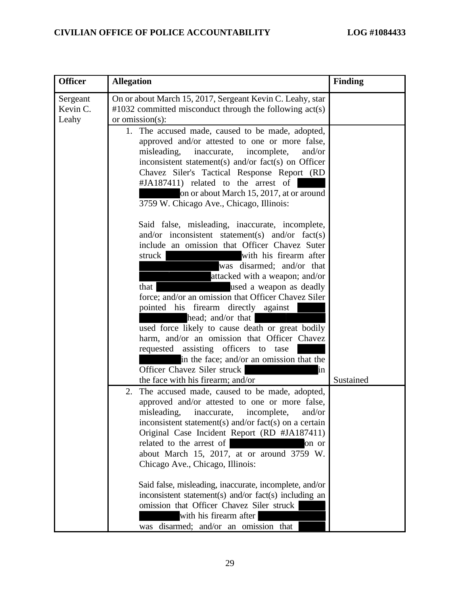| <b>Officer</b>                | <b>Allegation</b>                                                                                                                                                                                                                                                                                                                                                                                                                                                                                                                                                                                                                                                               | <b>Finding</b> |
|-------------------------------|---------------------------------------------------------------------------------------------------------------------------------------------------------------------------------------------------------------------------------------------------------------------------------------------------------------------------------------------------------------------------------------------------------------------------------------------------------------------------------------------------------------------------------------------------------------------------------------------------------------------------------------------------------------------------------|----------------|
| Sergeant<br>Kevin C.<br>Leahy | On or about March 15, 2017, Sergeant Kevin C. Leahy, star<br>$\text{\#}1032$ committed misconduct through the following act(s)<br>or omission $(s)$ :                                                                                                                                                                                                                                                                                                                                                                                                                                                                                                                           |                |
|                               | 1. The accused made, caused to be made, adopted,<br>approved and/or attested to one or more false,<br>misleading,<br>inaccurate,<br>incomplete,<br>and/or<br>inconsistent statement(s) and/or fact(s) on Officer<br>Chavez Siler's Tactical Response Report (RD<br>#JA187411) related to the arrest of<br>on or about March 15, 2017, at or around<br>3759 W. Chicago Ave., Chicago, Illinois:                                                                                                                                                                                                                                                                                  |                |
|                               | Said false, misleading, inaccurate, incomplete,<br>and/or inconsistent statement(s) and/or fact(s)<br>include an omission that Officer Chavez Suter<br>with his firearm after<br>struck<br>was disarmed; and/or that<br>attacked with a weapon; and/or<br>used a weapon as deadly<br>that<br>force; and/or an omission that Officer Chavez Siler<br>pointed his firearm directly against<br>head; and/or that<br>used force likely to cause death or great bodily<br>harm, and/or an omission that Officer Chavez<br>requested assisting officers to tase<br>in the face; and/or an omission that the<br>Officer Chavez Siler struck<br>in<br>the face with his firearm; and/or | Sustained      |
|                               | The accused made, caused to be made, adopted,<br>2.<br>approved and/or attested to one or more false,<br>misleading, inaccurate, incomplete,<br>and/or<br>inconsistent statement(s) and/or $fact(s)$ on a certain<br>Original Case Incident Report (RD #JA187411)<br>related to the arrest of<br>on or<br>about March 15, 2017, at or around 3759 W.<br>Chicago Ave., Chicago, Illinois:<br>Said false, misleading, inaccurate, incomplete, and/or<br>inconsistent statement(s) and/or fact(s) including an<br>omission that Officer Chavez Siler struck<br>with his firearm after<br>was disarmed; and/or an omission that                                                     |                |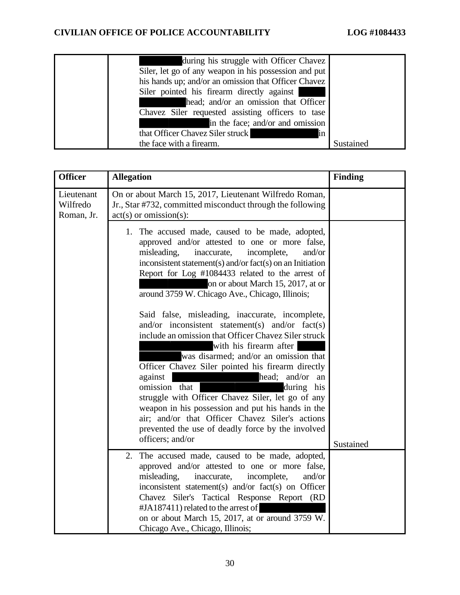| during his struggle with Officer Chavez               |           |
|-------------------------------------------------------|-----------|
| Siler, let go of any weapon in his possession and put |           |
| his hands up; and/or an omission that Officer Chavez  |           |
| Siler pointed his firearm directly against            |           |
| head; and/or an omission that Officer                 |           |
| Chavez Siler requested assisting officers to tase     |           |
| in the face; and/or and omission                      |           |
| that Officer Chavez Siler struck<br>in                |           |
| the face with a firearm.                              | Sustained |

| <b>Officer</b>                       | <b>Allegation</b>                                                                                                                                                                                                                                                                                                                                                                                                                                                                                                                                                                                                                                                                                                                                                                                                                                                                                                                                                 | <b>Finding</b> |
|--------------------------------------|-------------------------------------------------------------------------------------------------------------------------------------------------------------------------------------------------------------------------------------------------------------------------------------------------------------------------------------------------------------------------------------------------------------------------------------------------------------------------------------------------------------------------------------------------------------------------------------------------------------------------------------------------------------------------------------------------------------------------------------------------------------------------------------------------------------------------------------------------------------------------------------------------------------------------------------------------------------------|----------------|
| Lieutenant<br>Wilfredo<br>Roman, Jr. | On or about March 15, 2017, Lieutenant Wilfredo Roman,<br>Jr., Star #732, committed misconduct through the following<br>$act(s)$ or omission(s):                                                                                                                                                                                                                                                                                                                                                                                                                                                                                                                                                                                                                                                                                                                                                                                                                  |                |
|                                      | 1. The accused made, caused to be made, adopted,<br>approved and/or attested to one or more false,<br>misleading,<br>inaccurate,<br>incomplete,<br>and/or<br>inconsistent statement(s) and/or fact(s) on an Initiation<br>Report for Log #1084433 related to the arrest of<br>on or about March 15, 2017, at or<br>around 3759 W. Chicago Ave., Chicago, Illinois;<br>Said false, misleading, inaccurate, incomplete,<br>and/or inconsistent statement(s) and/or fact(s)<br>include an omission that Officer Chavez Siler struck<br>with his firearm after<br>was disarmed; and/or an omission that<br>Officer Chavez Siler pointed his firearm directly<br>against<br>and/or<br>head;<br>an<br>omission that<br>during his<br>struggle with Officer Chavez Siler, let go of any<br>weapon in his possession and put his hands in the<br>air; and/or that Officer Chavez Siler's actions<br>prevented the use of deadly force by the involved<br>officers; and/or | Sustained      |
|                                      | 2. The accused made, caused to be made, adopted,<br>approved and/or attested to one or more false,<br>misleading,<br>inaccurate,<br>incomplete,<br>and/or<br>inconsistent statement(s) and/or fact(s) on Officer<br>Chavez Siler's Tactical Response Report (RD<br>#JA187411) related to the arrest of<br>on or about March 15, 2017, at or around 3759 W.<br>Chicago Ave., Chicago, Illinois;                                                                                                                                                                                                                                                                                                                                                                                                                                                                                                                                                                    |                |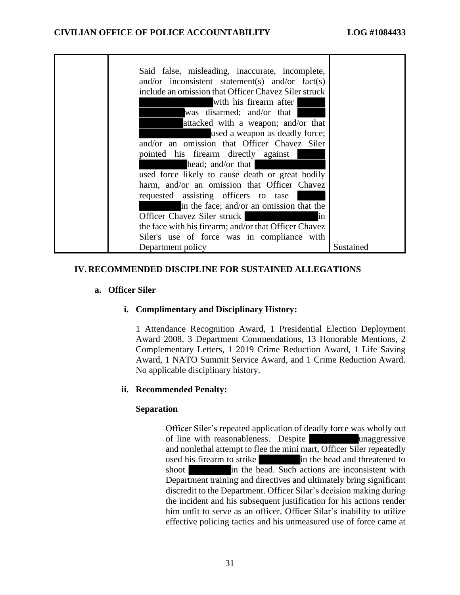| Said false, misleading, inaccurate, incomplete,       |           |
|-------------------------------------------------------|-----------|
| and/or inconsistent statement(s) and/or fact(s)       |           |
| include an omission that Officer Chavez Siler struck  |           |
| with his firearm after                                |           |
| was disarmed; and/or that                             |           |
| attacked with a weapon; and/or that                   |           |
| used a weapon as deadly force;                        |           |
| and/or an omission that Officer Chavez Siler          |           |
| pointed his firearm directly against                  |           |
| head; and/or that                                     |           |
| used force likely to cause death or great bodily      |           |
| harm, and/or an omission that Officer Chavez          |           |
| requested assisting officers to tase                  |           |
| in the face; and/or an omission that the              |           |
| Officer Chavez Siler struck<br>in                     |           |
| the face with his firearm; and/or that Officer Chavez |           |
| Siler's use of force was in compliance with           |           |
| Department policy                                     | Sustained |

# IV. RECOMMENDED DISCIPLINE FOR SUSTAINED ALLEGATIONS **IV. RECOMMENDED DISCIPLINE FOR SUSTAINED ALLEGATIONS**

# a. Officer Siler **a. Officer Siler**

# i. Complimentary and Disciplinary History: **i. Complimentary and Disciplinary History:**

1 Attendance Recognition Award, 1 Presidential Election Deployment Award 2008, 3 Department Commendations, 13 Honorable Mentions, 2 Complementary Letters, 1 2019 Crime Reduction Award, 1 Life Saving Award, 1 NATO Summit Service Award, and 1 Crime Reduction Award. No applicable disciplinary history. 1 Attendance Recognition Award, 1 Presidential Election Deployment<br>Award 2008, 3 Department Commendations, 13 Honorable Mentions, 2<br>Complementary Letters, 1 2019 Crime Reduction Award, 1 Life Saving<br>Award, 1 NATO Summit Se

# ii. Recommended Penalty: **ii. Recommended Penalty:**

# Separation **Separation**

Officer Siler's repeated application of deadly force was wholly out of line with reasonableness. Despite unaggressive of line with reasonableness. Despite unaggressive and nonlethal attempt to flee the mini mart, Officer Siler repeatedly used his firearm to strike in the head and threatened to used his firearm to strike in the head and threatened to shoot in the head. Such actions are inconsistent with Department training and directives and ultimately bring significant discredit to the Department. Officer Silar's decision making during the incident and his subsequent justification for his actions render him unfit to serve as an officer. Officer Silar's inability to utilize effective policing tactics and his unmeasured use of force came at effective policing tactics and his unmeasured use of force came at Department training and directives and ultimately bring significant<br>discredit to the Department. Officer Silar's decision making during<br>the incident and his subsequent justification for his actions render<br>him unfit to serv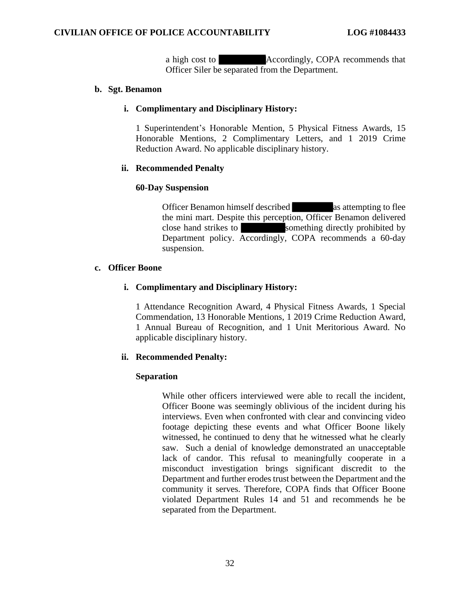a high cost to **Accordingly, COPA recommends that** Officer Siler be separated from the Department. Officer Siler be separated from the Department.

### b. Sgt. Benamon **b. Sgt. Benamon**

# i. Complimentary and Disciplinary History: **i. Complimentary and Disciplinary History:**

1 Superintendent's Honorable Mention, 5 Physical Fitness Awards, 15 1 Superintendent's Honorable Mention, 5 Physical Fitness Awards, 15 Honorable Mentions, 2 Complimentary Letters, and 1 2019 Crime Honorable Mentions, 2 Complimentary Letters, and 1 2019 Crime Reduction Award. No applicable disciplinary history. Reduction Award. No applicable disciplinary history.

### ii. Recommended Penalty **ii. Recommended Penalty**

# 60-Day Suspension **60-Day Suspension**

Officer Benamon himself described as attempting to flee the mini mart. Despite this perception, Officer Benamon delivered the mini mart. Despite this perception, Officer Benamon delivered close hand strikes to something directly prohibited by Department policy. Accordingly, COPA recommends a 60-day suspension. close hand strikes to something directly prohibited by Department policy. Accordingly, COPA recommends a 60-day suspension.

### c. Officer Boone **c. Officer Boone**

# i. Complimentary and Disciplinary History: **i. Complimentary and Disciplinary History:**

1 Attendance Recognition Award, 4 Physical Fitness Awards, 1 Special Commendation, 13 Honorable Mentions, 1 2019 Crime Reduction Award, 1 Annual Bureau of Recognition, and 1 Unit Meritorious Award. No applicable disciplinary history. 1 Attendance Recognition Award, 4 Physical Fitness Awards, 1 Special Commendation, 13 Honorable Mentions, 1 2019 Crime Reduction Award, 1 Annual Bureau of Recognition, and 1 Unit Meritorious Award. No applicable disciplina

# ii. Recommended Penalty: **ii. Recommended Penalty:**

# Separation **Separation**

While other officers interviewed were able to recall the incident,<br>Officer Boone was seemingly oblivious of the incident during his<br>interviews. Even when confronted with clear and convincing video Officer Boone was seemingly oblivious of the incident during his interviews. Even when confronted with clear and convincing video footage depicting these events and what Officer Boone likely witnessed, he continued to deny that he witnessed what he clearly saw. Such a denial of knowledge demonstrated an unacceptable lack of candor. This refusal to meaningfully cooperate in a misconduct investigation brings significant discredit to the Department and further erodes trust between the Department and the Department and further erodes trust between the Department and the community it serves. Therefore, COPA finds that Officer Boone community it serves. Therefore, COPA finds that Officer Boone violated Department Rules 14 and 51 and recommends he be separated from the Department. separated from the Department. footage depicting these events and what Officer Boone likely<br>witnessed, he continued to deny that he witnessed what he clearly<br>saw. Such a denial of knowledge demonstrated an unacceptable<br>lack of candor. This refusal to me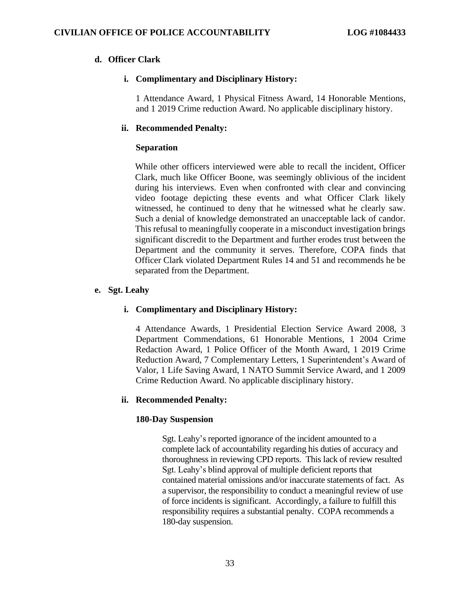# d. Officer Clark **d. Officer Clark**

# i. Complimentary and Disciplinary History: **i. Complimentary and Disciplinary History:**

1 Attendance Award, 1 Physical Fitness Award, 14 Honorable Mentions, and 1 2019 Crime reduction Award. No applicable disciplinary history. 1 Attendance Award, 1 Physical Fitness Award, 14 Honorable Mentions, and 1 2019 Crime reduction Award. No applicable disciplinary history.

# ii. Recommended Penalty: **ii. Recommended Penalty:**

# Separation **Separation**

While other officers interviewed were able to recall the incident, Officer Clark, much like Officer Boone, was seemingly oblivious of the incident during his interviews. Even when confronted with clear and convincing video footage depicting these events and what Officer Clark likely witnessed, he continued to deny that he witnessed what he clearly saw. Such a denial of knowledge demonstrated an unacceptable lack of candor. This refusal to meaningfully cooperate in a misconduct investigation brings significant discredit to the Department and further erodes trust between the Such a denial of knowledge demonstrated an unacceptable lack of candor.<br>This refusal to meaningfully cooperate in a misconduct investigation brings<br>significant discredit to the Department and further erodes trust between t Officer Clark violated Department Rules 14 and 51 and recommends he be Officer Clark violated Department Rules 14 and 51 and recommends he be separated from the Department. separated from the Department. While other officers interviewed were able to recall the incident, Officer Clark, much like Officer Boone, was seemingly oblivious of the incident during his interviews. Even when confronted with clear and convincing video

### e. Sgt. Leahy **e. Sgt. Leahy**

# i. Complimentary and Disciplinary History: **i. Complimentary and Disciplinary History:**

4 Attendance Awards, 1 Presidential Election Service Award 2008, 3 Department Commendations, 61 Honorable Mentions, 1 2004 Crime Redaction Award, 1 Police Officer of the Month Award, 1 2019 Crime Reduction Award, 7 Complementary Letters, 1 Superintendent's Award of Valor, 1 Life Saving Award, 1 NATO Summit Service Award, and 1 2009 Valor, 1 Life Saving Award, 1 NATO Summit Service Award, and 1 2009 Crime Reduction Award. No applicable disciplinary history. Crime Reduction Award. No applicable disciplinary history. Department Commendations, 61 Honorable Mentions, 1 2004 Crime Redaction Award, 1 Police Officer of the Month Award, 1 2019 Crime Reduction Award, 7 Complementary Letters, 1 Superintendent's Award of

# ii. Recommended Penalty: **ii. Recommended Penalty:**

# 180-Day Suspension **180-Day Suspension**

Sgt. Leahy's reported ignorance of the incident amounted to a complete lack of accountability regarding his duties of accuracy and thoroughness in reviewing CPD reports. This lack of review resulted Sgt. Leahy's blind approval of multiple deficient reports that Sgt. Leahy's blind approval of multiple deficient reports that contained material omissions and/or inaccurate statements of fact. As a supervisor, the responsibility to conduct a meaningful review of use contained material omissions and/or inaccurate statements of fact. As<br>a supervisor, the responsibility to conduct a meaningful review of use<br>of force incidents is significant. Accordingly, a failure to fulfill this responsibility requires a substantial penalty. COPA recommends a responsibility requires a substantial penalty. COPA recommends a 180-day suspension. 180-day suspension. Sgt. Leahy's reported ignorance of the incident amounted to a complete lack of accountability regarding his duties of accuracy and thoroughness in reviewing CPD reports. This lack of review resulted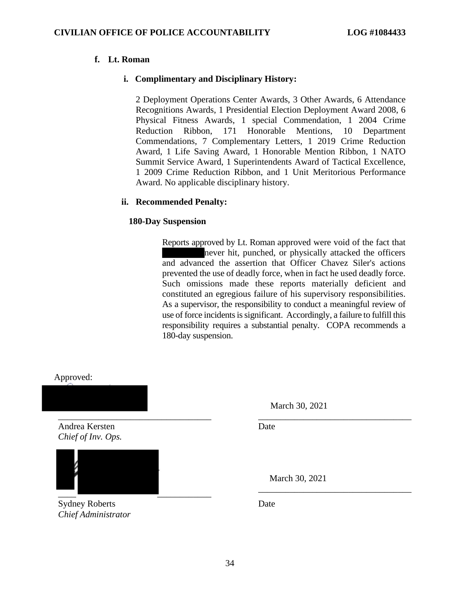# f. Lt. Roman **f. Lt. Roman**

# i. Complimentary and Disciplinary History: **i. Complimentary and Disciplinary History:**

2 Deployment Operations Center Awards, 3 Other Awards, 6 Attendance 2 Deployment Operations Center Awards, 3 Other Awards, 6 Attendance Recognitions Awards, 1 Presidential Election Deployment Award 2008, 6 Physical Fitness Awards, 1 special Commendation, 1 2004 Crime Recognitions Awards, 1 Presidential Election Deployment Award 2008, 6 Physical Fitness Awards, 1 special Commendation, 1 2004 Crime Reduction Ribbon, 171 Honorable Mentions, 10 Department Commendations, 7 Complementary Letters, 1 2019 Crime Reduction Award, 1 Life Saving Award, 1 Honorable Mention Ribbon, 1 NATO Summit Service Award, 1 Superintendents Award of Tactical Excellence, 1 2009 Crime Reduction Ribbon, and 1 Unit Meritorious Performance 1 2009 Crime Reduction Ribbon, and 1 Unit Meritorious Performance Award. No applicable disciplinary history. Award. No applicable disciplinary history. Reduction Ribbon, 171 Honorable Mentions, 10 Department<br>Commendations, 7 Complementary Letters, 1 2019 Crime Reduction<br>Award, 1 Life Saving Award, 1 Honorable Mention Ribbon, 1 NATO<br>Summit Service Award, 1 Superintendents

# ii. Recommended Penalty: **ii. Recommended Penalty:**

# 180-Day Suspension **180-Day Suspension**

Reports approved by Lt. Roman approved were void of the fact that Reports approved by Lt. Roman approved were void of the fact that never hit, punched, or physically attacked the officers never hit, punched, or physically attacked the officers and advanced the assertion that Officer Chavez Siler's actions and advanced the assertion that Officer Chavez Siler's actions prevented the use of deadly force, when in fact he used deadly force. prevented the use of deadly force, when in fact he used deadly force. Such omissions made these reports materially deficient and Such omissions made these reports materially deficient and constituted an egregious failure of his supervisory responsibilities. As a supervisor, the responsibility to conduct a meaningful review of As a supervisor, the responsibility to conduct a meaningful review of use of force incidents is significant. Accordingly, a failure to fulfill this use of force incidents is significant. Accordingly, a failure to fulfill this responsibility requires a substantial penalty. COPA recommends a responsibility requires a substantial penalty. COPA recommends a 180-day suspension. 180-day suspension.

Approved: Approved:

Andrea Kersten Date Andrea Kersten Chief of Inv. Ops. *Chief of Inv. Ops.*

\_\_\_\_ \_\_\_\_\_\_\_\_\_\_\_\_

Sydney Roberts Date Sydney Roberts Chief Administrator *Chief Administrator*

March 30, 2021 March 30, 2021

Date

\_\_\_\_\_\_\_\_\_\_\_\_\_\_\_\_\_\_\_\_\_\_\_\_\_\_\_\_\_\_\_\_\_\_ \_\_\_\_\_\_\_\_\_\_\_\_\_\_\_\_\_\_\_\_\_\_\_\_\_\_\_\_\_\_\_\_\_\_

March 30, 2021 March 30, 2021

\_\_\_\_\_\_\_\_\_\_\_\_\_\_\_\_\_\_\_\_\_\_\_\_\_\_\_\_\_\_\_\_\_\_

Date